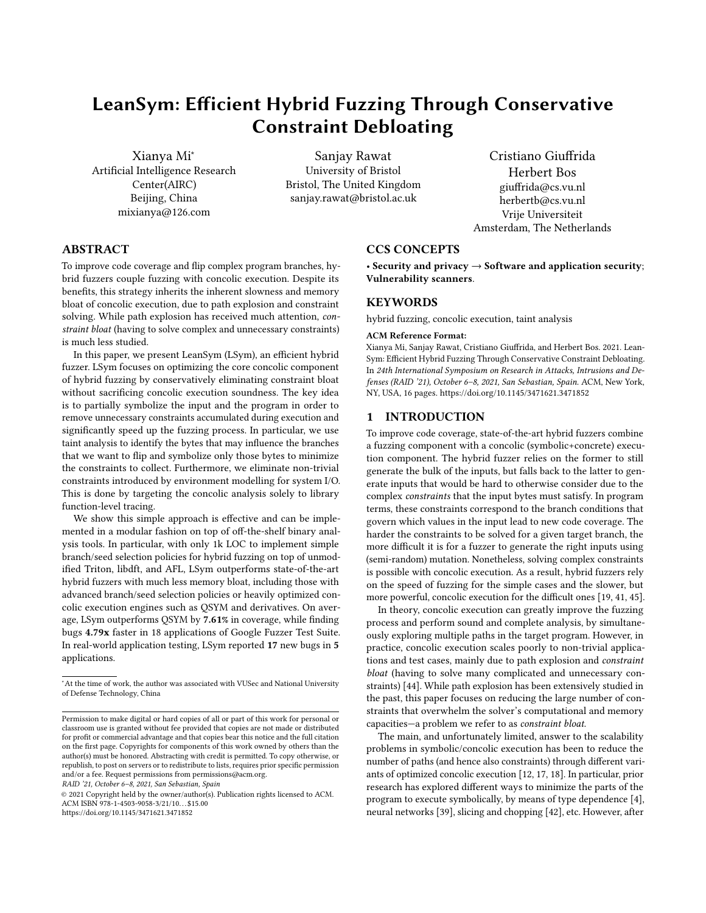# LeanSym: Efficient Hybrid Fuzzing Through Conservative Constraint Debloating

Xianya Mi<sup>∗</sup> Artificial Intelligence Research Center(AIRC) Beijing, China mixianya@126.com

Sanjay Rawat University of Bristol Bristol, The United Kingdom sanjay.rawat@bristol.ac.uk

Cristiano Giuffrida Herbert Bos giuffrida@cs.vu.nl herbertb@cs.vu.nl Vrije Universiteit Amsterdam, The Netherlands

# ABSTRACT

To improve code coverage and flip complex program branches, hybrid fuzzers couple fuzzing with concolic execution. Despite its benefits, this strategy inherits the inherent slowness and memory bloat of concolic execution, due to path explosion and constraint solving. While path explosion has received much attention, constraint bloat (having to solve complex and unnecessary constraints) is much less studied.

In this paper, we present LeanSym (LSym), an efficient hybrid fuzzer. LSym focuses on optimizing the core concolic component of hybrid fuzzing by conservatively eliminating constraint bloat without sacrificing concolic execution soundness. The key idea is to partially symbolize the input and the program in order to remove unnecessary constraints accumulated during execution and significantly speed up the fuzzing process. In particular, we use taint analysis to identify the bytes that may influence the branches that we want to flip and symbolize only those bytes to minimize the constraints to collect. Furthermore, we eliminate non-trivial constraints introduced by environment modelling for system I/O. This is done by targeting the concolic analysis solely to library function-level tracing.

We show this simple approach is effective and can be implemented in a modular fashion on top of off-the-shelf binary analysis tools. In particular, with only 1k LOC to implement simple branch/seed selection policies for hybrid fuzzing on top of unmodified Triton, libdft, and AFL, LSym outperforms state-of-the-art hybrid fuzzers with much less memory bloat, including those with advanced branch/seed selection policies or heavily optimized concolic execution engines such as QSYM and derivatives. On average, LSym outperforms QSYM by 7.61% in coverage, while finding bugs 4.79x faster in 18 applications of Google Fuzzer Test Suite. In real-world application testing, LSym reported 17 new bugs in 5 applications.

RAID '21, October 6–8, 2021, San Sebastian, Spain

#### CCS CONCEPTS

• Security and privacy  $\rightarrow$  Software and application security; Vulnerability scanners.

# **KEYWORDS**

hybrid fuzzing, concolic execution, taint analysis

#### ACM Reference Format:

Xianya Mi, Sanjay Rawat, Cristiano Giuffrida, and Herbert Bos. 2021. Lean-Sym: Efficient Hybrid Fuzzing Through Conservative Constraint Debloating. In 24th International Symposium on Research in Attacks, Intrusions and Defenses (RAID '21), October 6–8, 2021, San Sebastian, Spain. ACM, New York, NY, USA, [16](#page-15-0) pages.<https://doi.org/10.1145/3471621.3471852>

## 1 INTRODUCTION

To improve code coverage, state-of-the-art hybrid fuzzers combine a fuzzing component with a concolic (symbolic+concrete) execution component. The hybrid fuzzer relies on the former to still generate the bulk of the inputs, but falls back to the latter to generate inputs that would be hard to otherwise consider due to the complex constraints that the input bytes must satisfy. In program terms, these constraints correspond to the branch conditions that govern which values in the input lead to new code coverage. The harder the constraints to be solved for a given target branch, the more difficult it is for a fuzzer to generate the right inputs using (semi-random) mutation. Nonetheless, solving complex constraints is possible with concolic execution. As a result, hybrid fuzzers rely on the speed of fuzzing for the simple cases and the slower, but more powerful, concolic execution for the difficult ones [\[19,](#page-13-0) [41,](#page-13-1) [45\]](#page-14-0).

In theory, concolic execution can greatly improve the fuzzing process and perform sound and complete analysis, by simultaneously exploring multiple paths in the target program. However, in practice, concolic execution scales poorly to non-trivial applications and test cases, mainly due to path explosion and constraint bloat (having to solve many complicated and unnecessary constraints) [\[44\]](#page-14-1). While path explosion has been extensively studied in the past, this paper focuses on reducing the large number of constraints that overwhelm the solver's computational and memory capacities—a problem we refer to as constraint bloat.

The main, and unfortunately limited, answer to the scalability problems in symbolic/concolic execution has been to reduce the number of paths (and hence also constraints) through different variants of optimized concolic execution [\[12,](#page-13-2) [17,](#page-13-3) [18\]](#page-13-4). In particular, prior research has explored different ways to minimize the parts of the program to execute symbolically, by means of type dependence [\[4\]](#page-13-5), neural networks [\[39\]](#page-13-6), slicing and chopping [\[42\]](#page-14-2), etc. However, after

<sup>∗</sup>At the time of work, the author was associated with VUSec and National University of Defense Technology, China

Permission to make digital or hard copies of all or part of this work for personal or classroom use is granted without fee provided that copies are not made or distributed for profit or commercial advantage and that copies bear this notice and the full citation on the first page. Copyrights for components of this work owned by others than the author(s) must be honored. Abstracting with credit is permitted. To copy otherwise, or republish, to post on servers or to redistribute to lists, requires prior specific permission and/or a fee. Request permissions from permissions@acm.org.

<sup>©</sup> 2021 Copyright held by the owner/author(s). Publication rights licensed to ACM. ACM ISBN 978-1-4503-9058-3/21/10. . . \$15.00 <https://doi.org/10.1145/3471621.3471852>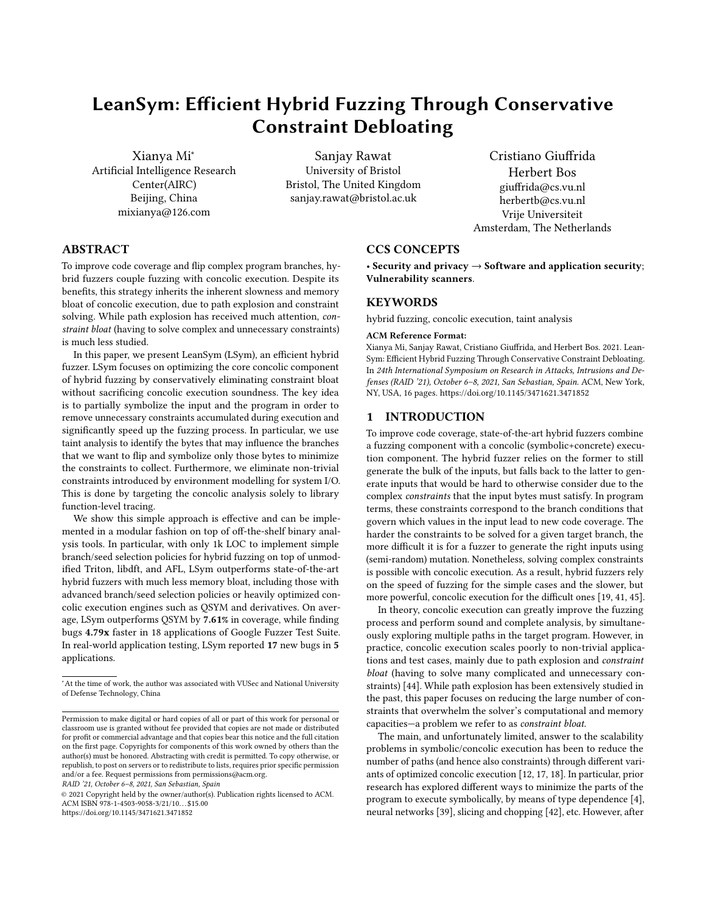deciding which part of the program is symbolic and which concrete, existing engines typically collect all the constraints during concolic execution for each target branch by making the entire input symbolic. However, in practice, many of the constraints thus accumulated are not relevant for a given target branch at all [\[20\]](#page-13-7).

An alternative answer to deal with constraint bloat might be to write a tailored concolic execution engine for hybrid fuzzing from scratch, with the aim of symbolizing only the relevant instructions in the program. This is the approach explored in QSYM [\[45\]](#page-14-0), where a custom and efficient concolic execution engine implemented in some 16,000 lines of code supports a hybrid fuzzer, using a dependency chain to determine the instructions that are relevant for each target branch and therefore should be executed symbolically. Although the optimized concolic component improves fuzzing performance significantly, the input is still fully symbolized, which may result in path explosion and constraint bloat. To work around these issues, QSYM uses a timeout to switch to an optimized mode which drops all the constraints and only attempts to solve those directly related to a given branch. Unfortunately, this strategy is unsound and may result in invalid inputs that do not help the fuzzer make forward progress.

In this paper, we present LeanSym (LSym), a new and efficient hybrid fuzzer that outperforms even tailored solutions with much less memory bloat and using off-the-shelf binary analysis tools. The key idea is to use partial symbolization (symbolizing only those parts of the inputs and program that are relevant for the target branch) to aggressively eliminate constraint bloat, while preserving the soundness of concolic execution. In particular, LSym removes constraints accumulated during execution that have no bearing on the target branch to speed up the fuzzing process significantly in two ways. First, it eliminates non-trivial constraints introduced by environment modeling for system I/O by targeting the symbolic analysis solely to library function-level tracing. Second, it uses dynamic taint analysis to identify the bytes that may influence the branches that we want to flip and symbolize only those bytes to minimize the constraints to collect.

We implemented LSym on top of unmodified Triton [\[38\]](#page-13-8), libdft [\[3\]](#page-13-9), and AFL [\[46\]](#page-14-3) in 1k LOC to implement simple and modular branch/seed  $\frac{10}{11}$ selection policies for hybrid fuzzing. We evaluated LSym on various benchmark datasets such as the Google Fuzzer Test Suite [\[2\]](#page-13-10) as well as 5 real-world applications and compared its performance against state-of-the-art hybrid fuzzers, namely QSYM. On average, LSym outperforms QSYM by 7.61% in coverage, while finding bugs 4.79x faster. LSym also found 17 new bugs in 5 applications with the latest versions, while QSYM failed to find 9 of them.

Summarizing, we make the following contributions:

- We analyze the performance bottlenecks in concolic execution as used in hybrid fuzzers and identify constraint bloat as one of the main problems (§ [2\)](#page-1-0).
- We show that we can significantly reduce the bloat and improve hybrid fuzzing performance by means of functionlevel training (§ [4\)](#page-4-0) and taint-assisted input symbolization  $(S, 5)$  $(S, 5)$ .
- Building on these insights, we implemented LSym, a hybrid fuzzer on top of common off-the-shelf tools (§ [6\)](#page-5-0) that outperforms highly optimized state-of-the-art solutions (§ [8\)](#page-6-0)

To foster follow-up research, we will open source our LSym prototype upon acceptance of the paper.

# <span id="page-1-0"></span>2 CONSTRAINT BLOAT IN CONCOLIC **EXECUTION**

Though path explosion is a well known and studied issue in classical symbolic execution and concolic execution based approaches, scalability still remains a challenge and constraint solving is possibly the next biggest bottleneck [\[5\]](#page-13-11). Constraint solving is especially expensive due to constraint bloat, which, in turn, has two main causes. First, the concolic execution engines by themselves do not really know what happens to the symbolic state when the program interacts with the environment, for instance through system calls. For this reason, today's concolic execution engines come equipped with models to emulate these effects on the symbolic state for every possible interaction. Unfortunately, as we shall see, symbolization at the system call level is complicated and quickly leads to the accumulation of many (not very interesting) constraints. Second, existing concolic execution engines apply (overly) wide symbolization of inputs and instructions with an eye on (broad) program exploration rather than flipping target branches.

#### 2.1 Relevant branches

1

12

14

<span id="page-1-3"></span><span id="page-1-2"></span>28

To highlight the problem, we use the example shown in Listing [1,](#page-1-1) where the vulnerability in Line [24](#page-1-2) is hidden inside a number of complicated checks.

<span id="page-1-1"></span>Listing 1: A bug in nested code. Branches marked ' $R_n$ ' are related to the bug in line [24.](#page-1-2) The ' $U_n$ ' branches are unrelated.

```
2 int main (int argc , char * argv []) {
 3 char * file = argv [1];
4 char B [2000]; // buffer for input bytes (to be tainted )
       FILE * fp = fopen ( file ,6 size_t fsize = ftell ( fp ); // get file size
       int check = 0;

9 for ( i = 0; i < ( fsize -6); i ++)
10 if ((B[i]+B[i+1]) < (B[i+3]+B[i+4]+B[i+5])) // R0
                check++;13 if (check < 1) return -1;
15 if (B[18] + B[19] == 'b') { // R1
16 ...
17 if ( B [2] + B [4] == 'X') // U1
18 ...
19 if (B[15] + B[18] == 'U') { // R2
20 ...
21 if ( B [4] + B [8] == 'X') // U2
22 ...<br>
23 if (B[15] + B[14] == 'g') //R3<br>
24 ...VULNERABLE CODE...
25 else ... // R4
26 }
27 ...
       29 return 0;
30 }
```
To trigger the vulnerability, the program should reach the true edge of the branch R3, after satisfying three prior branch conditions (R0, R1 and R2). Note that the other conditional statements preceding R3 (U1 -- U2) are not important for the outcome of R3. Specifically, a previously executed branch A is only relevant for a later branch B, if B is control- or data-dependent on A.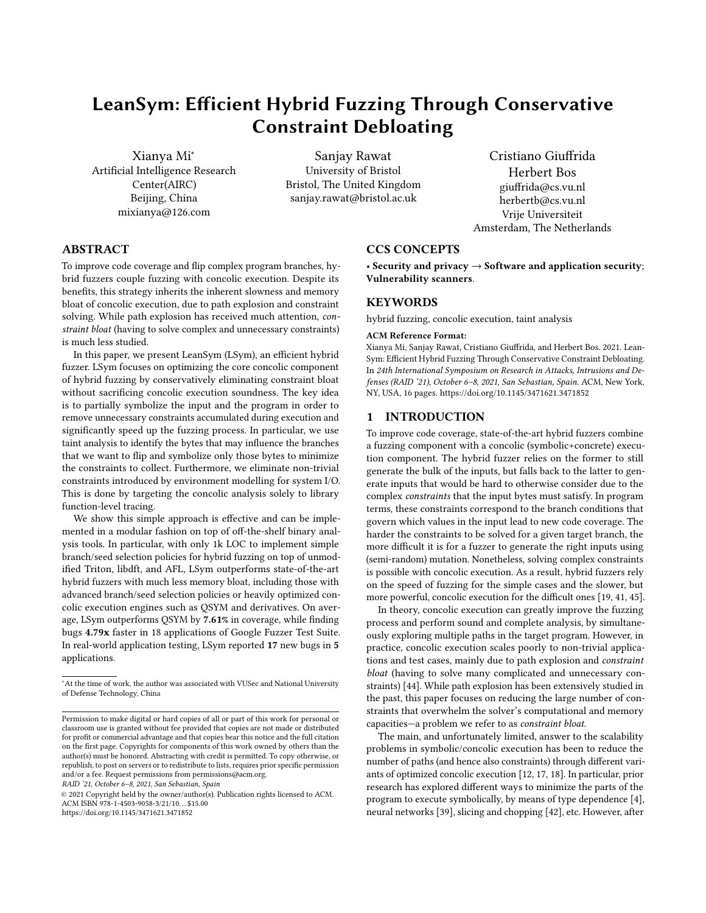<span id="page-2-1"></span>Listing 2: Constraints generated for the code in Listing [1](#page-1-1) on negating the branch R3.

1

```
2 (B[0]+B[1]) -(B[3]+B[4]+B[5] < 0) &&
3 \mid \ldots4 B [18] + B [19] - 'b' = 0 && B [2] + B [4] - 'X' = 0 &&
5 B [15] + B [18] - 'U' = 0 && B [4] + B [8] - 'X' = 0 &&
6 | B[15] + B[14] - 'g' = 0
```
To explore such code, concolic execution maintains both symbolic and concrete states. Upon encountering a branch during execution, it will try to find a new path by solving the negation of the branch together with all the constraints previously collected. In this simple example, if an input reaches R3 (i.e. satisfies all the previous constraints), but sets the branch outcome to false, it will try to find an input that evaluates R3 to true. To do so, popular concolic execution solutions such as KLEE, S2E, and  $Trion<sup>1</sup>$  $Trion<sup>1</sup>$  $Trion<sup>1</sup>$  will generate symbolic expressions similar to the ones shown in Listing [2,](#page-2-1) to be solved by a constraint solver.

Clearly, many of the constraints are not relevant for triggering the bug at all and satisfying them with a constraint solver needlessly consumes both time and memory.

#### 2.2 Existing work on reducing symbolic code

Existing solutions attempt to symbolize only relevant statements build on a technique known as chaining [\[16\]](#page-13-12), a form of slicing using program dependency graphs [\[21\]](#page-13-13). Specifically, by building a dependency tree, solutions such as QSYM [\[45\]](#page-14-0), DGSE [\[43\]](#page-14-4), and STIG [\[14\]](#page-13-14) determine which statements in a program are relevant for the current target branch.

QSYM [\[45\]](#page-14-0), a state-of-the-art hybrid fuzzer optimizes the process even further by dynamically switching between two modes. In full mode, QSYM builds for each branch a full dependency tree consisting of all relevant statements for that branch and tries to solve (only) the corresponding constraints. However, in case full mode takes too long (i.e., QSYM cannot solve the constraints within a few seconds), it falls back to optimistic mode which uses taint analysis to find which input bytes influence the target branch and solves only that constraint. We noticed that Triton [\[38\]](#page-13-8) supports a similar mode, known as last-branch-only, although it does not make use of taint analysis to prune the statements that are not relevant.

The code in Listing [1](#page-1-1) shows that solutions that leverage dependency trees to reduce constraints (such as QSYM and similar systems), may still accumulate many (useless) constraints. In this case, the loop even creates a chain of constraints so that each constraint  $c_{i+1}$  at loop iteration  $i + 1$  is related to the constraint  $c_i$  at loop iteration i. As a result, we end up collecting all the constraint in the code except for the ones related to U1 and U2. In optimistic mode, QSYM does not use dependency relation and therefore, only focuses on the last constraint  $B[15] + B[14] - 'g' = 0$ .

# 2.3 Challenges in containing constraint bloat

For small examples, off-the-shelf constraint solvers may well find a solution still, but for real-world applications with large program sizes and numerous paths, the constraints to flip a target branch quickly become too complicated for the constraint solver to solve efficiently. In the remainder of this section, we revisit the two main challenges in handling constraint bloat.

Challenge C1 Reduce constraint bloat due to excessive symbolization by hooking at the level of system calls.

Concolic execution always starts with symbolizing the program input. In the absence of source code, it is often not obvious which exact function acts as the source of the tainted input. For this reason, binary-only solutions typically symbolize input bytes by hooking system calls for file operations, such as open(), read(), and mmap. While convenient, system call hooking introduces additional constraints which in turn lead to additional overhead for the solver.

The main sources of these extra constraints are wrapper functions such as the system call APIs in glibc that perform a variety of operations before performing the actual system call. As an example, consider the reading of a string of bytes from a file using the fopen() and fread() functions from the glibc library that eventually execute the open() and read() system calls, respectively.

To get access to the target string from the input file, fopen() needs to copy the file descriptor returned by the open() syscall to the address of the I/O buffer that implements the FILE struct. Next, fread() uses a pointer in this structure to track which offset in the input file buffer should be accessed and copied into an intermediate buffer. These are all complex operations. With symbolization at the system call level, such intermediate operations increase both the emulation time and the number of constraints. As the input file grows in size, these additional mass of (not very interesting) constraints influences the efficiency of concolic execution to certain extent.

Challenge C2 Reduce constraint bloat due to whole-input symbolization.

Current concolic execution solutions symbolize the entire input and emulate all instructions that operate on these symbolized bytes. As we saw in Listing [2,](#page-2-1) doing so results in many constraints that are not relevant. As we saw earlier, advanced solutions (in QSYM and similar systems) reduce constraint bloat by computing a precise dependency chain, allowing them to emulate only the relevant instructions. For the example in Listing [1,](#page-1-1) QSYM in full mode would keep all the constraints related to R0 - R3, but shed (only) those of U1 and U2. In optimistic mode, QSYM's fallback solution, it abandons the soundness of symbolic execution altogether and tracks only R3.

Both modes have problems. It is intuitively clear that optimisitic mode often leads to invalid solutions. For instance, when solving the constraint for R3 using bytes 15 and 14, it may pick a value for byte 15 that interferes with R2 and cause the program to not even reach R3. Clearly, a single constraint on the last branch is not sufficient. Unfortunately, the complete dependency chain in full mode also leads to problems—in the form of constraint bloat (and its accompanying high memory overhead). Specifically, given an input and the target branch R3 that the fuzzer needs to flip, the relevant constraints are only those related to R2 and R3. Picking the right values for bytes 14 and 15, such that they satisfy both conditions is sufficient to flip the branch. In other words, using the full dependency graph may vastly overshoot the minimum number of constraints needed to flip the branch!

<span id="page-2-0"></span> $1$ default mode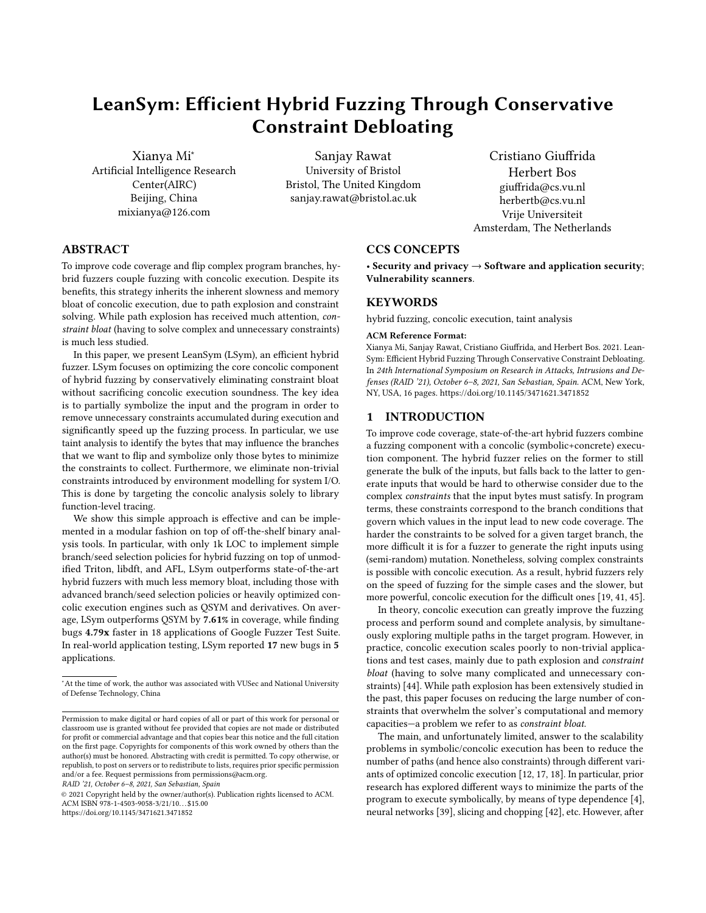<span id="page-3-0"></span>Table 1: Constraints collected by different methods for the code in Listing [1,](#page-1-1) for the target branch RB3.

|            | time | $m$ em $(MB)$ | solving time   | constraints | solved vars   | success |
|------------|------|---------------|----------------|-------------|---------------|---------|
| $OSYM*$    | 14s  | 538           | $10s + 284$ ms | 951         | 949           | no      |
| Triton*    | 28s  | 206           | $10s + 876$ ms | 951         | 949           | no      |
| LSvm       | 8s   |               | 1 ms           |             |               | ves     |
| * - ---- - |      | .             | .              |             | $\sim$ $\sim$ |         |

QSYM and Triton both had to fall back on optimistic/last-branch-only mode as neithe could solve the constraints otherwise, even in 20 minutes.

# 2.4 The cost of constraint bloat

In this section, we perform a preliminary evaluation of the effects of constraint bloat to motivate the remainder of this work. As a first example, consider Table [1,](#page-3-0) where the first two rows show results for the trivial example of Listing [1](#page-1-1) with QSYM and an optimized version of Triton. Like QSYM, the Triton-solution drops to last-branch-only mode if it fails to find a solution with full constraints within a time-out period of ten seconds. Without the timeout, both QSYM and Triton can not solve the target branch even in twenty minutes. We then aborted these experiments, since spending this long on a single branch makes these solutions impractical. The experiments show that constraint bloat can easily becomes a bottleneck for constraint solvers. Indeed, even for this simple example, the number of constraints (almost one thousand) and the amount of memory (hundreds of megabytes) are very high for both QSYM- and Tritonbased solutions, while neither of them even found an input to reach the target code. In this paper, we show that we can do much better. For instance, the last row shows that LSym reduces the number of constraints by two orders of magnitude, and easily finds an input that leads to the vulnerability in just 1 ms of constraint solving.

While Listing [1](#page-1-1) is a toy example, the problem of constraint bloat also surfaces in real-world binaries, as shown in Table [2,](#page-3-1) where we evaluated objdump-2.34 targeting one specific compare instruction using QSYM and the same optimized version of Triton, as well as LSym. Again, we see that the amount of memory and the number of constraints in the QSYM and Triton-based solutions are high, and because of their complexity, they take a long time to solve. Indeed, although our seed inputs hit the target branch six times, in every single case the constraints were too complex for Triton to solve within the time-out period. In other words, all branches go to optimistic/last-branch-only mode for a "solution" (that unfortunately often invalidates prior constraints). Similarly, QSYM resorted to optimistic mode in half of the cases, even though QSYM's concolic execution engine is much more efficient than Triton's. The bottom row in the table again shows that we can do better with only a fraction of the constraints, less memory overhead and a much lower solving time. Moreover, the reduction in constraints means that they could all be solved in less than a second without the need for the fallback mode. This is important since optimistic mode has strong bearings on the code that we cover. For instance, Triton generated even less coverage than the original seed input. The main reason is that optimistic/last-branch-only modes ignore previous data dependencies so that the solutions more often than not invalidate previous constraints. A quick investigation of newly covered paths via optimistic mode on applications in Google Fuzzer Test Suite confirms that many of them are error paths. In

other words, the more inputs we generate optimistically, the less (meaningful) coverage we may get (see Section [8.1\)](#page-6-1).

<span id="page-3-1"></span>Table 2: Constraints collected by different methods for a single branch in objdump-2.34.

|             | $m$ em (MB) | solving time* | constraints | solved vars | coverage |
|-------------|-------------|---------------|-------------|-------------|----------|
| original    |             |               |             |             | 1384     |
| <b>OSYM</b> | 662         | $10s+0.491s$  | 407         | 38          | 1582     |
| Triton      | 673         | $10s+13ms$    | 371         |             | 1225     |
| LSvm        | 206         | 0.289s        | 33          |             | 1592     |

∗ for the seed hitting the target branch last

# 3 LEANSYM

LSym addresses the issue of constraint bloat by augmenting concolic execution with two techniques.

Overcoming C1: Function level tracing. Instead of symbolizing at the syscall level, LSym performs symbolization at function level (i.e. it delays hooking until the I/O related execution reaches a library function). For instance, in the example of Listing [1,](#page-1-1) instead of hooking syscalls open() and read(), we start tracing from fopen(), fread() from libc. The similar approach has also been used in prior work in symbolic execution (e.g., by creating efficient memory models and concretely applying system and application arguments, e.g. S2E[\[12\]](#page-13-2), Mayhem[\[8\]](#page-13-15), angr [\[40\]](#page-13-16) and KLEE [\[6\]](#page-13-17) for external library wrapper) and unit-level testing work [\[36\]](#page-13-18). It should, however, be noted that while source-based solutions, like KLEE, also apply library wrappers, their motivation is to model the external library functions to continue with the execution. We, on the other hand, apply similar strategy for constraint debloating. As an addition, we simplify the automatic detection of functions calling I/O syscalls as such functions can be custom functions in the application rather than standard libc APIs. In Section [4,](#page-4-0) we explain how we identify the appropriate functions to start tracing.

Overcoming C2: Taint-assisted partial symbolization. LSym exploits the fact that concolic execution involves a concrete input and uses it to also compute the (dynamic) dataflow. Specifically, rather than constructing a full dataflow-based dependency chain, LSym uses dynamic taint analysis (DTA) to identify the tainted (input) bytes that affect each statement. For each target branch A and the corresponding set  $T_A$  of input bytes affecting it, it symbolically executes only those statements that are similarly affected by bytes in  $T_A$ . We achieve this by symbolizing (only) the input bytes in  $T_A$ and perform concolic execution as usual, without touching other bytes of the input.

Thus, for the example in Listing [1](#page-1-1) we would not change the behavior of branch R1 and focus instead on R2 and R3, as well as the constraints generated within the loop that involve those same tainted bytes (14 and 15).

The bottom row of Table [1](#page-3-0) shows that, for this example, doing so reduces the number of constraints by two orders of magnitude and easily finds an input that leads to the vulnerability. In Section [8,](#page-6-0) we evaluate LSym on real-world applications.

Fig. [1](#page-4-2) illustrates LSym's high-level design. It consists of four main components: (A) the main fuzzer (e.g., AFL [\[46\]](#page-14-3)), (B) the taint analysis engine (e.g., libdft [\[25\]](#page-13-19)), (C) the branch selector, and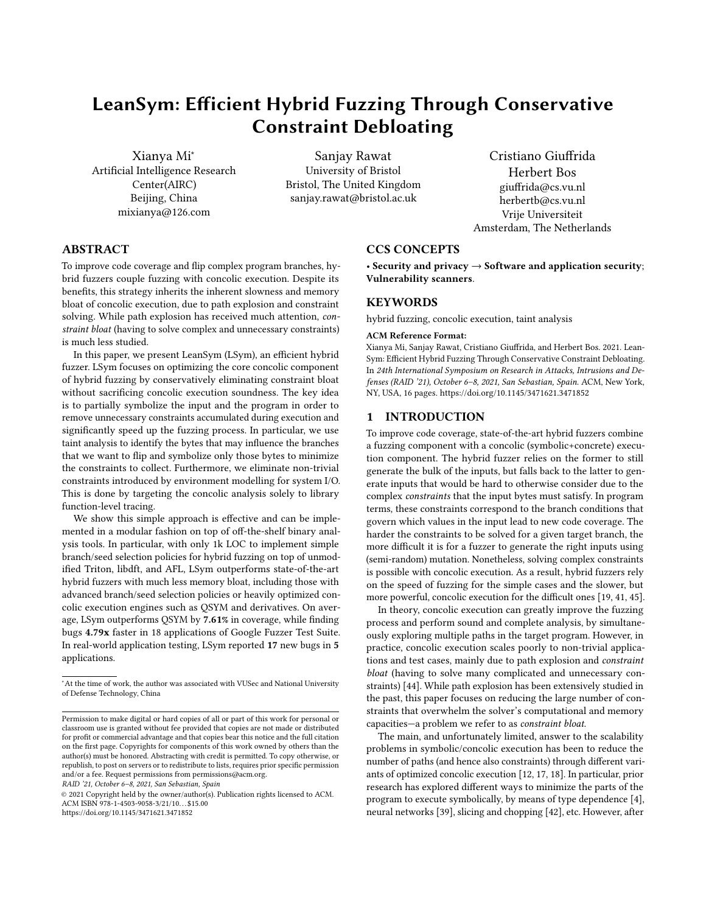(D) a concolic execution engine (e.g., Triton [\[38\]](#page-13-8)). The main fuzzer maintains a queue of inputs from which we randomly select one and run it under taint analysis to determine the tainted bytes for every branch. Next, the branch selection module selects branches to flip (see Section [6\)](#page-5-0), while the concolic execution engine uses the taint information and function level tracing to generate a minimal set of constraints corresponding to the selected branches. Finally, a SAT solver returns a solution satisfying these constraints (if any), which is then used to generate new inputs.

<span id="page-4-2"></span>

Figure 1: Architectural Overview of LSym.

In the next two sections, we describe function-level symbolization and taint-assisted partial symbolization in detail.

#### <span id="page-4-0"></span>4 FUNCTION-LEVEL TRACING

Library function wrappers for system calls can introduce additional and unnecessary constraints while performing concolic execution. To address this problem, we propose a simple function-level tracing and symbolization design as an alternative to the traditional syscalllevel approach. Our approach is inspired from source-code based solutions, like KLEE [\[6\]](#page-13-17), that provide wrappers for external library functions and works directly on executables in automatic manner. For our purpose, we only focus on file processing syscalls and library functions. Achieving this goal requires two steps: (1) determining which file processing library functions to hook, and (2) summarizing such functions to perform symbolization.

From functions to syscalls. Without access to source code, our goal is to track syscalls like open(), read(), etc. and then determine which library functions wrapping these system calls we need to symbolize. For this purpose, we rely on the Intel PIN [\[30\]](#page-13-20)'s dynamic binary instrumentation (DBI) framework.

We hook syscalls by using PIN's dynamic instrumentation. Next, we use PIN's routine tracing instrumentation to generate a dynamic callgraph where the deepest node (leaf node) contains a call to a syscall and upper most node corresponds to a known library function. In our current implementation, we focus on file processing syscalls and corresponding library functions from libc. Before starting the main analysis task, we run the application on given seed inputs to determine which function summaries are required for the

application. For instance, when we run our pintool on the example in Listing [1,](#page-1-1) we find fopen() and fread() call the relevant syscalls and are thus selected for function-level symbolization. We also considered alternative designs, such as manual annotations at the library interface level (but this approach may miss relevant library functions across implementations) and static callgraph analysis (but this approach may be unnecessarily conservative for the simple task at hand), but discarded them in favor of a more practical approach.

Function summaries. After determining the target library functions, we provide wrappers that summarize such functions and symbolize the relevant data by doing a manual analysis. This is similar to the approach adopted in **angr** [\[40\]](#page-13-16) for providing python wrappers for library functions. However, a distinction should be made in that angr provides summaries of known library functions (called as SimProcedures) to deal with the problem of path explosion, which we have not implemented in our current prototype. We believe incorporating such features will further enhance constraint debloating. Also, unlike angr, we do not model the whole effect of a syscall on the memory, but rather only focus on the taintflow propagation. For most of the functions, this is as simple as grabbing the address of a file buffer from argument registers and symbolizing all the bytes in the buffer. For instance, the fread() wrapper can, in principle, orderly symbolize the bytes of the read buffer upon library function return. Nonetheless, syscalls such as rewind(), fstat(), lseek(), and fseek() may change the current read offset and result in a non-linear input-to-buffer mapping.

To address this problem, we track information in the file structure stored in memory. In particular, we target variables (e.g., \_IO\_read\_ptr) in the file structure to calculate the right offset at every read operation. In the wrapper, we maintain a map between each symbolic byte in the read buffer and the original input byte offset. This strategy allows us to map each byte of the input to each byte read by a given libray call after collecting and solving the branch constraints.

Thanks to this simple summarization strategy, we can aggressively prune all the unnecessary constraints normally collected inside complex library function implementations like fread() by existing concolic execution tools.

# <span id="page-4-1"></span>5 TAINT-ASSISTED PARTIAL SYMBOLIZATION

In this section, we describe the main LSym component, namely taint-assisted partial symbolization. As we observed earlier, the efficiency of concolic execution depends on two factors: the time to emulate instructions and collect constraints, and the time to solve the collected constraints for a given branch that we want to flip. While optimizations are possible [\[16,](#page-13-12) [45\]](#page-14-0), it is difficult to minimize such times if we fully symbolize the input and need to collect the many resulting constraints during concolic execution.

LSym's key intuition is that, in a coverage-oriented hybrid fuzzing scenario, we are only interested in targeting conditional branches that depend on some bytes of the input. For example, as shown in Listing [1,](#page-1-1) for the branch at line [23](#page-1-3) to be negated and reach the vulnerable code R3, we only need to focus on offsets 14 and 15 in the input affecting the branch (assuming previous constraints are satisfied). As a result, full input symbolization is unnecessary (and, in fact, detrimental due to constraint bloat).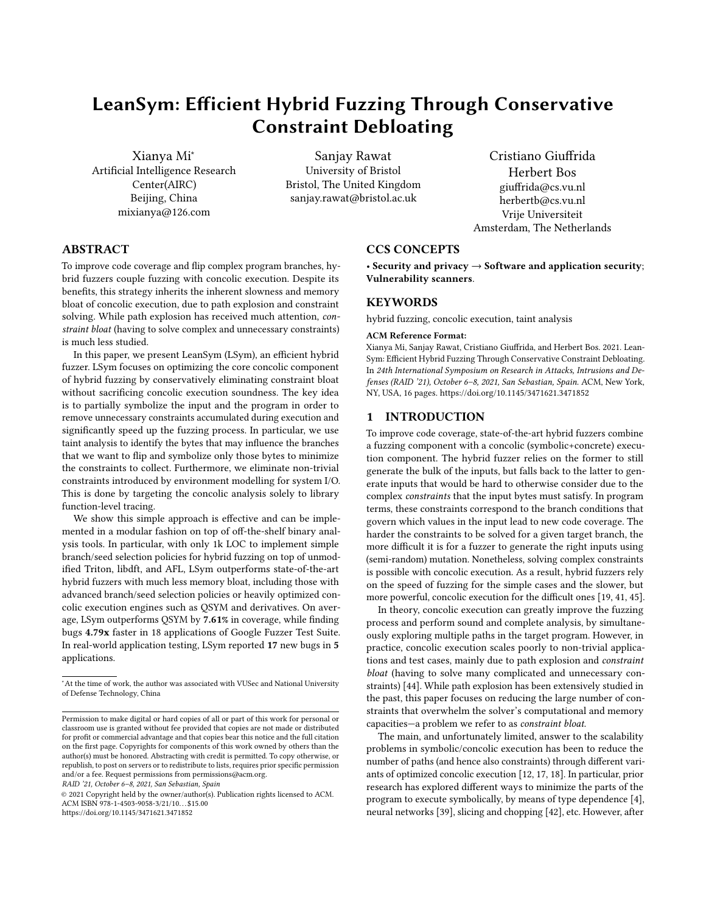Building on this intuition, LSym only symbolizes the input bytes that affect the target branches, pruning many complex and unnecessary constraints while retaining the same context (and soundness) as full symbolization. For this purpose, LSym relies on byte-granular dynamic taint analysis (DTA) to determine which input bytes affect which target branches in the program. With this information, LSym can symbolize only the relevant (or tainting) input bytes for partial and efficient symbolization.

To gather the required taint information, LSym simply runs the program with the given input using DTA. LSym instructs the DTA engine to use the entire (file) input as taint source and all the compare (i.e., cmp) instructions as taint sinks. With byte-granular taint propagation performed by the DTA engine, this strategy allows us to record tainted input byte offsets and operand values for each cmp instruction controlling a branch.

In the next step, LSym selects the target cmp instructions and symbolizes only the input bytes tainting the operands of such instructions. For example, in Listing [1,](#page-1-1) say we want to exclusively target (and flip) the branch at line [23.](#page-1-3) To this end, LSym collects taint information for the corresponding cmp instruction and reports bytes 14 and 15 as the only controlling input bytes.

In the final step, LSym symbolizes the input bytes reported by DTA and collects constraints during concolic execution. Due to taint-assisted partial symbolization, the latter only needs to emulate instructions operating on the relevant symbolic data. When the execution reaches the target branch instruction, we have gathered all the necessary constraints to negate the branch. In the example, the condition is negated as  $B[15] + B[14] - 'g' = 0$ .

At that point, the collected constraints are given to a constraint solver, which calculates the values of the relevant input bytes to guide the execution on the flipped edge of the target branch. In the example, the solver provides the following solution:  $B[14]$  == 0x33 && B[15] == 0x34. LSym uses such solution to *replace* the original input bytes with the provided values and generate a new test case.

Our DTA implementation does not consider implicit (indirect)  $taintflow$  when propagating taint<sup>[2](#page-5-1)</sup>. As noted by Cavallaro et al. [\[7\]](#page-13-21), capturing implicit flows result in taint explosion, thus more false positives, while not considering implicit flows introduces missing taintflows. Due to the later side-effect, the precision of constraints is negatively impacted. For us, this problem results in losing relevant constraints thereby making constraint solving incorrect. We, however, observe that for fuzzing on real-world applications, the effect of implicit flows is not very adverse (see Section [8.3.1](#page-9-0) for empirical results).

# <span id="page-5-0"></span>6 HYBRID FUZZING POLICIES

Building on lean concolic execution for hybrid fuzzing, LSym can afford simple fuzzing policies to implement efficient and practical fuzzing. At the architectural level, we follow the standard approach used by prior hybrid fuzzing solutions such as QSYM. That is, we use AFL [\[46\]](#page-14-3) as the main fuzzing engine with two instances (master and worker) to synchronize with the inputs generated by our concolic execution component. Within this architecture, LSym relies on basic seed selection, branch selection, and branch scheduling policies to isolate the benefits of constraint debloating and improve the comparability of our results.

Seed selection. The seed selection policy dictates how LSym selects test cases from the worker instance of AFL to perform concolic execution—feeding the descendant test cases back to AFL. LSym can flexibly support different seed selection policies. For a fair comparison against QSYM, the closest competing solution, we adopt its same seed selection policies based on four metrics: coverage (seed leading to new coverage), importance (original seed), size (the smaller the seed size, the better), age (the younger the seed, the better). Nonetheless, using more advanced seed selection policies—such as those explored in recent work [\[10,](#page-13-22) [11,](#page-13-23) [47\]](#page-14-5)—to provide orthogonal improvements is possible.

Branch selection. The branch selection policy dictates how LSym selects the branches to flip within each seed considered for concolic execution. LSym can flexibly support different branch selection policies. For example, Burnim and Sen observed that in practice, a simple random branch selection strategy beats more sophisticated strategies, like CFG based or DFS [\[5\]](#page-13-11). However, in our current implementation, similar to QSYM we select all the branches in the execution trace of an input under consideration. Nonetheless, using more advanced branch selection policies is possible and has the potential to amplify the effectiveness of partial input symbolization (the fewer the branches selected, the fewer the constraints handled by concolic execution). We leave the exploration of such large design space to future work.

Branch scheduling. The branch scheduling policy dictates how LSym schedules the selected branches for concolic execution. A naive policy would simply schedule all the target branches for partial input symbolization in a single concolic execution run. However, this policy may trivially re-introduce constraint bloat. In fact, in the worst case, it might lead DTA to conclude we need to symbolize the entire input, falling back to an inefficient full input symbolization baseline. At the other extreme, scheduling one concolic execution run for each branch would introduce unnecessary computational redundancy (and overhead). To minimize constraint bloat and computational overhead, our current LSym prototype clusters the branches controlled (i.e., tainted) by the same input bytes together and schedules each cluster in a single concolic execution run. We found this policy to work well in practice and exploits the full benefit of partial input symbolization.

#### 7 IMPLEMENTATION

We implemented our LSym prototype in 1,126 lines of code (LOC) overall. The concolic execution component is implemented in 641 LOC and based on the Triton [\[38\]](#page-13-8) concolic execution engine. The DTA tool is implemented in 371 LOC and based on the libdft64 [\[3\]](#page-13-9) DTA framework. The remaining 114 LOC are for the fuzzer runner.

Concolic execution. In theory, LSym can be implemented on top of any existing concolic execution engine, such as S2E [\[12\]](#page-13-2), KLEE [\[6\]](#page-13-17), angr [\[40\]](#page-13-16), Triton [\[38\]](#page-13-8), and QSYM [\[45\]](#page-14-0). We originally considered QSYM for comparability purposes, its support for program binaries, and its efficient concolic emulation. However, QSYM's custom-optimized concolic execution engine implements several

<span id="page-5-1"></span> $^{2}$ Implicit flow arises when a variable is assigned within an *if-then-else* statement whose condition involves a sensitive (tainted) variable, e.g.,  $if(y=1)$  then  $x:= 1;$ else  $x:=$  $0$ ; endif. Clearly, the value of  $X$  is dependent on , even though there is no assignment of the latter to the former.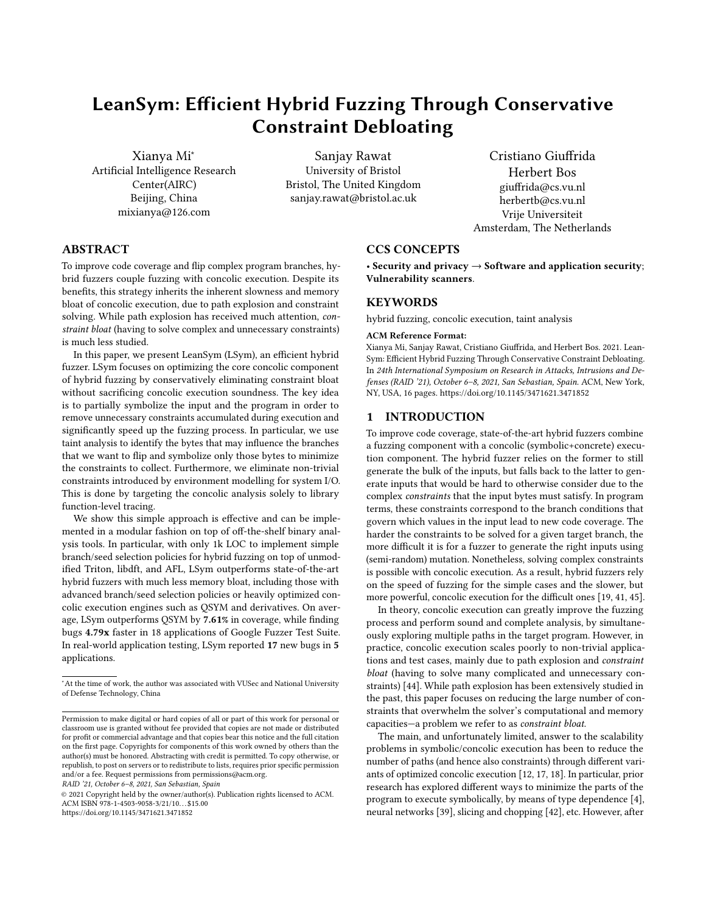tightly coupled optimization techniques, making it difficult to extend, decouple the optimizations, and implement our modular LSym design. As a result, we decided to implement LSym on top of the less efficient but more flexible Triton engine.

Triton [\[38\]](#page-13-8) is a dynamic binary analysis framework that provides a concolic execution engine, AST representations, DTA, and a SMT solver interface. Triton's concolic execution engine is implemented by using Intel PIN [\[30\]](#page-13-20) API which also facilitates the integration of our function-level/syscall-level profiling tools. Our concolic execution component is implemented on top of the Triton API to easily support partial symbolization (i.e., specifying which bytes we want to symbolize) and function-level tracing (i.e., hooking into the target library functions and perform just-in-time symbolization based on our function summaries). In our implementation, we configured LSym with the same optimistic/last-branch-only mode that kicks after the 10 seconds timeout period (similar to QSYM).

Dynamic taint analysis. In theory, we could implement our LSym design on top of Triton's DTA engine. However, Triton only supports single-label DTA, that is we can only check if a sink value is tainted (or not) with no data lineage information. Our design instead requires one label for each input byte to map input offsets to affected (tainted) branches. A way to approximate this design with Triton is to run the program through DTA many times and, at each run, taint a different input byte offset. Since this is inefficient, we instead opted for libdft64 [\[3\]](#page-13-9), an Intel PIN-based DTA framework that supports multiple labels at the byte granularity. Generating the branch instruction taintflow is based on the VUzzer's taintflow implementation [\[37\]](#page-13-24).

#### <span id="page-6-0"></span>8 EVALUATION

We evaluated our LSym prototype on a workstation running Ubuntu-16.04 on Intel(R) Xeon(R) CPU E5-4650 v4 with 64 GB RAM. We used gcov to collect coverage information. Hereafter, with coverage we mean number of lines of source code executed (unless otherwise mentioned). We also use the opt and no-opt tool name suffixes to denote optimistic and non-optimistic configurations of the tools considered (recall that in optimistic mode we solve only the target branch constraints as a fallback strategy upon timeout, rather than giving up on the branch).

Our evaluation focuses on answering the following questions:

- RQ1: Does LSym improve (valid) input generation when compared to full data dependency-based concolic strategies like QSYM's?
- RQ2: Does LSym incur more overhead in terms of memory consumption when compared to full data dependency-based concolic strategies like QSYM's?
- RQ3: Does LSym improve hybrid fuzzing with limited time and computing resources?

#### <span id="page-6-1"></span>8.1 The cost of optimistic solving

In this section, we show that optimistic solving (dropping all the constraints except for the target branch), as is used in QSYM, is an overly aggressive constraint debloating strategy that may lead to generating uninteresting inputs. In particular, we empirically show that optimistic mode: (1) often invalidates the previous constraints, thereby affecting coverage in unpredictable ways; (2) may generate

invalid inputs, thereby taking the program into an error state (i.e., trivial error-handling code). Moreover, we show that such errorhandling code may contribute substantially to the overall reported coverage, but providing improvements that are not reflected in the ability to find more bugs. Previous works (e.g. TFuzz [\[32\]](#page-13-25) and VUzzer [\[37\]](#page-13-24)) have adopted strategies to specifically avoid errorhandling blocks. For empirical findings, we use three real-world applications– libpng-1.2.56, pcre2-10.00 and objdump-2.34.

For libpng-1.2.56, we use a 218-byte size PNG seed input and test with QSYM, Triton, and LSym. We configure each tool to negate all the branches in the seed execution trace and measure the updated coverage.

As shown in Table [3,](#page-6-2) the total coverage of all inputs generated by QSYM is 1,005 and 871 for QSYM-no-opt. This means that optimistic mode accounts for 134 out of a total of 1,005 new inputs. An inspection of the source code reveals that 94 out of the 134 (∼70%) newly covered code lines by optimistic solving actually belong to error-handling code. (The number -94 is calculated by substracting 88 from 182, indicating that 94 more error-handling code is introduced by optimistic mode.) The implication is that, while no-opt mode allows QSYM to never fail in generating inputs, the gain in code-coverage is often accidental in the sense that new input is not the intended one that flipped the target branch, but rather some random branch, leading the execution to error-handling blocks. We dub this as inferior input generation for executing error handling blocks was not intentional as opposed to existing work (e.g. [\[24\]](#page-13-26)) that target error-handling blocks for bugs.

<span id="page-6-2"></span>Table 3: Coverage of libpng-1.2.56 on a 218-byte seed input by QSYM, QSYM-no-opt and LSym.

|             | coverage |                   | error code | difference |
|-------------|----------|-------------------|------------|------------|
| <b>OSYM</b> | 1005     |                   | 182        |            |
| OSYM-no-opt | 871      | $-134$            | 88         | $-94$      |
| LSvm        | 991      | $-14(+109, -123)$ | 95         | $-87$      |

In fact, although the table suggests QSYM has more coverage than LSym (1005 vs. 991), manual code inspection reveals that the additional coverage is mainly due to executing error-handling code. Specifically, we manually analyze the line coverage and determine that QSYM has 14 more coverage in total than LSym and LSym generates 109 lines of coverage which QSYM fails to cover. Meanwhile, QSYM has 123 lines of coverage which LSym fails to cover, however, 87 out of 123 are new error handling code. (The number 87 is calculated by substracting 95 from 182.) This shows that LSym can generate more code coverage other than error-handling code than QSYM, and LSym can solve constraints that QSYM fails to solve correctly within timeout limit (thus falling back to optimistic mode).

We repeated the same experiment with pcre2-10.00 with a 36 byte input and the results are shown in Table [4.](#page-7-0) We observe that QSYM generates 45 more lines of error code than LSym, and 31 of which are caused by negating the branches incorrectly under optimistic mode (compared with the coverage generated by QSYM without optimistic solving, i.e. QSYM-no-opt). We also observe that LSym generates 28 lines of code regarding the target branches, however QSYM fails to achieve them. Instead, QSYM finds 289 extra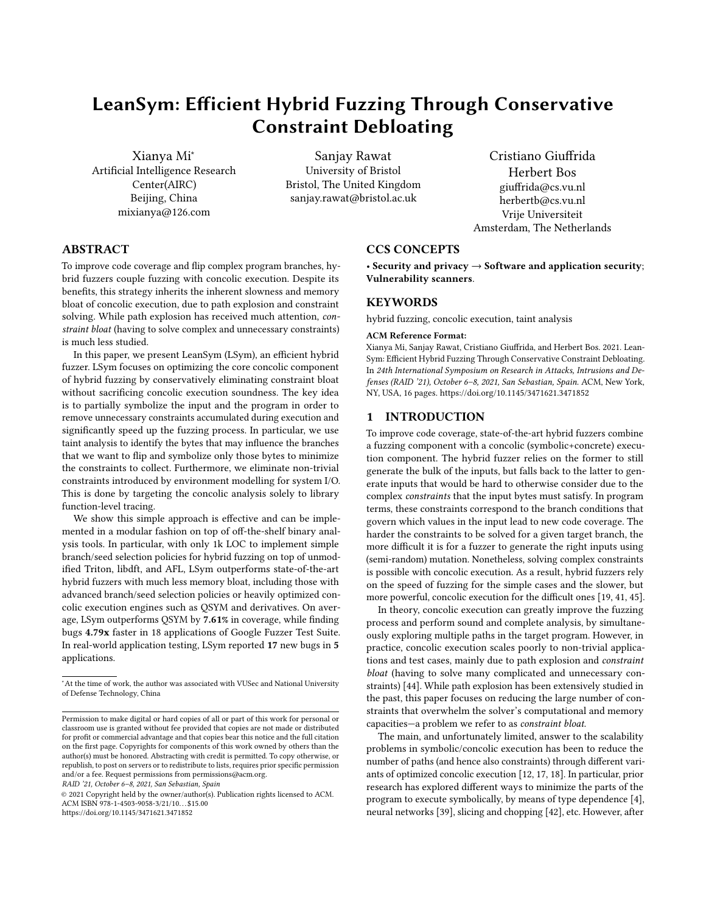lines of code which includes error-handling code and code caused by negating non-target branches (a case of accidental code-coverage).

<span id="page-7-0"></span>Table 4: Coverage of pcre2-10.00 on a 36-byte seed input by QSYM, QSYM-no-opt and LSym.

|             | coverage | difference        | error code | difference |
|-------------|----------|-------------------|------------|------------|
| <b>OSYM</b> | 1320     |                   |            |            |
| OSYM-no-opt | 1209     | $-111$            | 39         | $-31$      |
| LSvm        | 1003     | $-317(+28, -289)$ |            | -45        |

We observed similar findings in the case of objdump-2.34. When we consider the if-else branch in the

bfd\_elf\_string\_from\_elf\_section function (elf.c), the branch is hit 6 times during the execution of the seed. When QSYM attempts to solve the 3 deepest runs of the branch, the solver resorts to optimistic solving. The 3 new inputs generated by optimistic solving never hit the target branch and branch off earlier in bfd\_elf\_setup\_sections (again a case of accidental codecoverage). We also notice that the inputs generated by optimistic solving finally makes the program execution into error handling code, and in result, QSYM shows 17 more line coverage in objdump.c compared with LSym, which turns out to be error handling code. In other words, these extra coverage is not what we originally try to achieve and in result are useless.

Overall, our results answer RQ1, confirming LSym outperforms state-of-the-art solutions in valid input generation and produces higher-quality inputs overall.

#### 8.2 The cost of constraint bloat

In this section, we show that inverse policy, collecting all constraints based on (data) dependency chaining, may severely impact performance on real-world applications. We do so by directly comparing LSym to QSYM, while noting that QSYM's concolic execution engine is much faster [\[33\]](#page-13-27).

8.2.1 The cost of tracking all branches. Solutions such as QSYM try to solve all the branches found during the execution of the target application—including those from dynamic libraries (libc.so.6, linux-vdso.so.1, /lib64/ld-linux-x86-64.so.2, etc.). However, targetting such libraries has little or no positive effect on the coverage on the main application. LSym, on the other hand, is application-aware in the sense that it selects branches only from the main application<sup>[3](#page-7-1)</sup>.

In order to measure the effect on code-coverage and memory usage, we ran a series on exepriments on four applications– libpng-1.2.56, libarchive-2017- 01-04, harfbuzz-1.3.2 and boringssl-2016-01-12. The results are summarised in Table [5.](#page-7-2) In the following, we elaborate our findings on libpng-1.2.56. We run QSYM and LSym on libpng-1.2.56 with a single png seed file of 218 bytes. To cover each branch, QSYM takes 2 hours, 27 minutes and 12 seconds on this single input, while LSym takes only 11 minutes and 14 seconds. We also show the results when we continue running LSym to keep solving other branches from the newly generated inputs for the remaining time, completing 19 rounds

on concolic execution and achieving better coverage than QSYM (Table [5\)](#page-7-2).

 $\mathop{\mathsf{QSYM}}\nolimits$  produces 7031 inputs $^4$  $^4$  and achieves 1005 lines of coverage. In the same time span, LSym generates inputs for the branches in 19 files, achieving 1145 line coverage, despite a much slower concolic execution engine. We also observe that out of 7031 inputs generated by QSYM, 1050 (14.93%) of them are generated in optimistic mode, which means QSYM could not solve the related branches in 10 seconds. In contrast, out of the 844 inputs generated by LSym, only 72 (9.68%) are solved by optimistic mode. These results show that the constraint debloating in LSym enables it to solve more complicated branches than QSYM. Another thing worth mentioning is that QSYM consumes much more memory than LSym, with 5437 megabytes at most in the concolic execution process for one input, while LSym consumes only 300 megabytes in one run, and at most 1005 megabytes for 19 files. We observe similar effects in three other applications, as shown in Table [5.](#page-7-2) In all of the cases, LSym is more efficient in solving constraints than QSYM as is evident from column opt in Table [5](#page-7-2) (LSym does not fall to optimistic mode as often as QSYM).

<span id="page-7-2"></span>Table 5: The result of running libpng-1.2.56, libarchive-2017- 01-04, harfbuzz-1.3.2 and boringssl-2016-01-12 with LSym and QSYM for the same time duration, and also LSym for the same seed input.

| prog       | method      | files | inputs | opt            | time    | mem(mb) | cov(loc) |
|------------|-------------|-------|--------|----------------|---------|---------|----------|
|            | <b>OSYM</b> |       | 7031   | 1050           | 2:27:12 | 5438    | 1005     |
| libpng     | LSym        | 19    | 844    | 72             |         | 1005    | 1145     |
|            | LSym        | 1     | 58     | 7              | 0:11:14 | 300     | 991      |
|            | <b>OSYM</b> | 1     | 5178   | 764            | 0:23:21 | 15597   | 2244     |
| libarchive | LSym        | 54    | 1065   | $\Omega$       |         | 440     | 2318     |
|            | LSym        |       | 431    | $\theta$       | 0:07:03 | 440     | 1719     |
|            | <b>OSYM</b> | 1     | 7819   | 849            | 0:22:12 | 2544    | 2891     |
| harfbuzz   | LSym        | 19    | 1917   | 8              |         | 469     | 3184     |
|            | LSym        | 1     | 745    | $\overline{c}$ | 0:01:43 | 469     | 2880     |
|            | <b>OSYM</b> | 1     | 4737   | 353            | 1:28:33 | 6767    | 1321     |
| boringssl  | LSym        | 18    | 3572   | 235            |         | 1769    | 1345     |
|            | LSym        |       | 1165   | 38             | 0:27:38 | 1769    | 1295     |

8.2.2 The impact of bloat on input size . The practical implications of constraint bloating become even clearer if we relate it to input size. Intuitively, if the data-dependency chain used in QSYM and similar approaches gets bigger this will also affect the performance. As an illustration, we measure the memory overhead and execution time of QSYM, Triton and LSym on four programs from the Google Fuzzer Test Suite that have input intensive computation: guetzli-2017-30, libarchive-2017-01-04, boringssl-2016-01-12 and libpng-1.2.56. As suggested by Klees et al. [\[27\]](#page-13-28), we choose seed inputs of different sizes for this evaluation. However, our choice of maximum size is constrained by the fact that on inputs larger than 1 KB, QSYM could not finish within a three hour time limit. Figure [2](#page-9-1) shows that the time and memory consumption for QSYM, Triton and LSym for growing input sizes diverge quickly and are only comparable for very short inputs. These are not isolated cases and we encountered many issues with input sizes during our experiments. For instance,

<span id="page-7-1"></span><sup>&</sup>lt;sup>3</sup>For fuzzing a library, we statically compile it with the utility by using --disable-shared option.

<span id="page-7-3"></span><sup>&</sup>lt;sup>4</sup>The inputs do not translate to branches, as QSYM frequently produces multiple inputs for a single branch.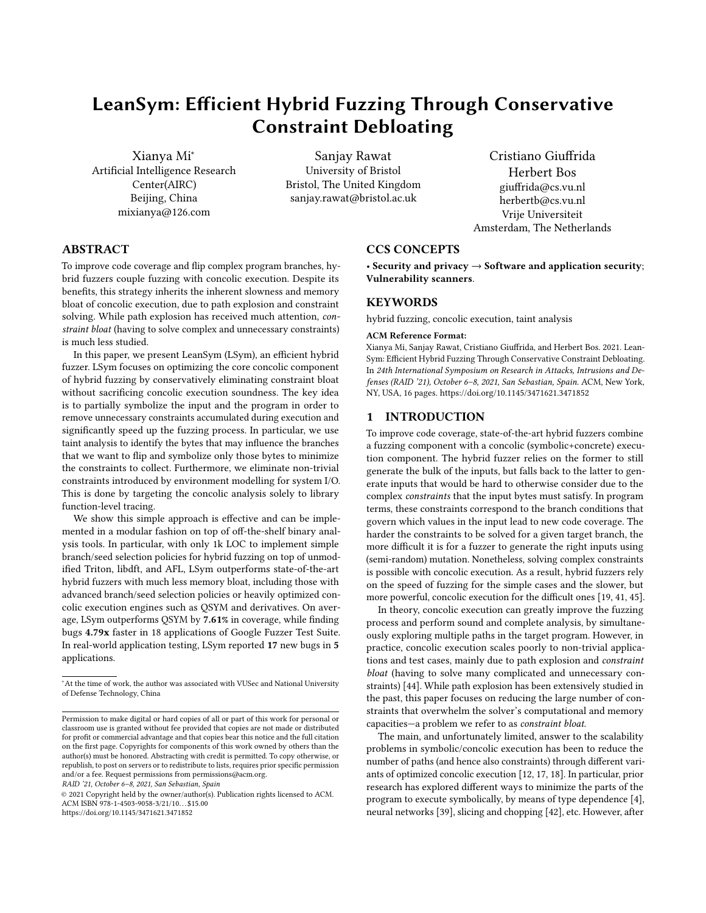<span id="page-8-0"></span>Table 6: The number of UNSAT branches for LSym and QSYM on eight applications. This indicates that how many branches cannot be solved by the solver (Z3) based on the constraints collected by both methods.

| libarchive  | unsat    | solved | percentage |
|-------------|----------|--------|------------|
| LSym        | 7        | 390    | 1,76%      |
| <b>OSYM</b> | 81       | 169    | 32,40%     |
| libxml2     | unsat    | solved | percentage |
| LSym        | 42       | 260    | 13,91%     |
| <b>OSYM</b> | 126      | 214    | 37,06%     |
| pcre2       | unsat    | solved | percentage |
| LSym        | 48       | 664    | 6,74%      |
| <b>OSYM</b> | 894      | 520    | 63,22%     |
| sqlite      | unsat    | solved | percentage |
| LSym        | $\theta$ | 12     | 0,00%      |
| <b>OSYM</b> | 330      | 673    | 32.90%     |
|             |          |        |            |
| boringssl   | unsat    | solved | percentage |
| LSym        | 1064     | 16984  | 5,90%      |
| <b>OSYM</b> | 4325     | 5737   | 42.98%     |
| guetzli     | unsat    | solved | percentage |
| LSym        | 137      | 1800   | 7,07%      |
| <b>OSYM</b> | 2829     | 3734   | 43,11%     |
| harfbuzz    | unsat    | solved | percentage |
| LSym        | 948      | 13343  | 6.63%      |
| <b>OSYM</b> | 5024     | 9207   | 35,30%     |
| libpng      | unsat    | solved | percentage |
| LSym        | 90       | 1305   | 6,45%      |

when we ran libpng-1.2.56, with a png seed file of 1096 bytes, QSYM did not finish in 4.5 hours at which point it had already consumed 20GB of memory. In contrast, LSym finished in 3 hours with at most 3GB overhead. We conclude that with respect to RQ2, LSym incurs much less memory overhead compared to constraintheavy solutions such as QSYM—even if it drops to optimistic mode after the ten seconds time-out.

8.2.3 The efficiency in solving complex branches. One of the main design criteria in QSYM is to tackle the problem of over-constraints which may result in unsatisfiable (UNSAT) constraints in generating new inputs [\[12\]](#page-13-2). LSym's taint based constraint collection also aims to address the problem over-constraints. In order to test the quality of collected constraints by LSym and QSYM, we analyse a set of applications to empirically observe the number of UNSAT branches in both of the approaches. We run these applications on seed inputs to record for how many branches, the solver returns UNSAT, thereby indicating the infeasibility of generating inputs that flip those branches. In case of UNSAT, QSYM falls back to optimistic mode to still generate inputs. We can see in Table [6](#page-8-0) that LSym returns UNSAT branches at most 13.91% of the times, while QSYM returns UNSAT at least 32.40%. which shows that QSYM fails to solve more complex branches more often than LSym, which could be a side effect of over-constraints<sup>[5](#page-8-1)</sup>. This number shows the ability of the concolic execution engine to solve complex constraints if the problem of over-constraints is addressed carefully and LSym is better at minimizing the problem of over-constraints.

To see the effect of these UNSAT behaviour on the input generation, we manually analyse a branch at 0x405af4 in guetzli-2017-3

-30 which is located in source code file

jpeg\_data\_reader.cc:965. The branch is actually a switch command, and the target code lies in lines 1022 and 1023. In the original input, these two lines are not covered. Ideally, concolic execution should flip the branch and cover the lines 1022 and 1023. In QSYM normal mode, trying to flip this branch returned UNSAT by the solver, indicating that constraints were not solvable. As a result, QSYM falls back to optimistic mode, generating 7 optimistic new inputs. For the same branch, LSym generates 7 inputs without the solver returning UNSAT. By analysing the coverage introduced by both methods, we find out that LSym covers lines 1022 and 1023, while QSYM fails to do so in spite of generating inputs with optimistic mode. On further analysis, we found that while solving the branch 0x405af4 in optimistic mode, QSYM accidentally negate a previous branch on line 230. In the original input and also inputs generated by LSym, branch at line 130 is not taken and lines 231-235 (guarded code by the line 130) are not covered, however, inputs generated by QSYM flip branch at line 130 and cover lines 231-235. This further confirms our finding of section [8.1](#page-6-1) that inputs generated by QSYM's optimistic mode may not always flip the target branch.

#### <span id="page-8-2"></span>8.3 Concolic execution evaluation

In this section, we compare LSym's concolic execution approach to that of its Triton baseline. In particular, we are interested in measuring the improvements on concolic exection time and coverage due to function-level tracing and taint-assisted partial symbolization.

For this purpose, we select two random input files with different sizes across four applications (3 representative applications from the Google Fuzzer test suite and the popular objdump used in much prior work in the area). Table [7](#page-9-2) presents our results, also breaking down the improvements by the individual components (function for function-level tracing and taint for taint-assisted partial symbolization). On average, function-level tracing alone can reduce concolic execution time by 9.39% while taint-assisted symbolization alone yields a 30.65% reduction. Overall, LSym improves Triton's conolic execution time by 37.54% on average. On top of these improvements, LSym also improves Triton's concolic execution coverage by 3.96%, which stems from the fewer instances the less effective optimistic mode is needed by the underlying engine.

As shown in Table [7,](#page-9-2) the improvements vary across applications and input sizes and so do the speedups offered by function-level tracing and taint-assisted partial symbolization. For applications with a larger number file processing operations, function-level tracing has a more noticeable impact. For applications with many nested branches, partial symbolization is a more important contributor to the improvements.

A more detailed LSym vs. Triton comparison on emulation time, constraint solving time, and memory consumption is presented in Table ?? in the appendix. Summarizing here, across all test cases, we observe a considerable reduction in emulation and constraint solving time (26.23% and 29.41% on average). LSym also reduced memory consumption by 20.62% on average. All these improvements, while already interesting, become much more significant when LSym is used as an end-to-end hybrid fuzzer rather than a standalone concolic execution engine. In Section [8.3,](#page-8-2) we show

<span id="page-8-1"></span> $5$  The percentage is calculated unsat  $*100$  / (unsat + solved ).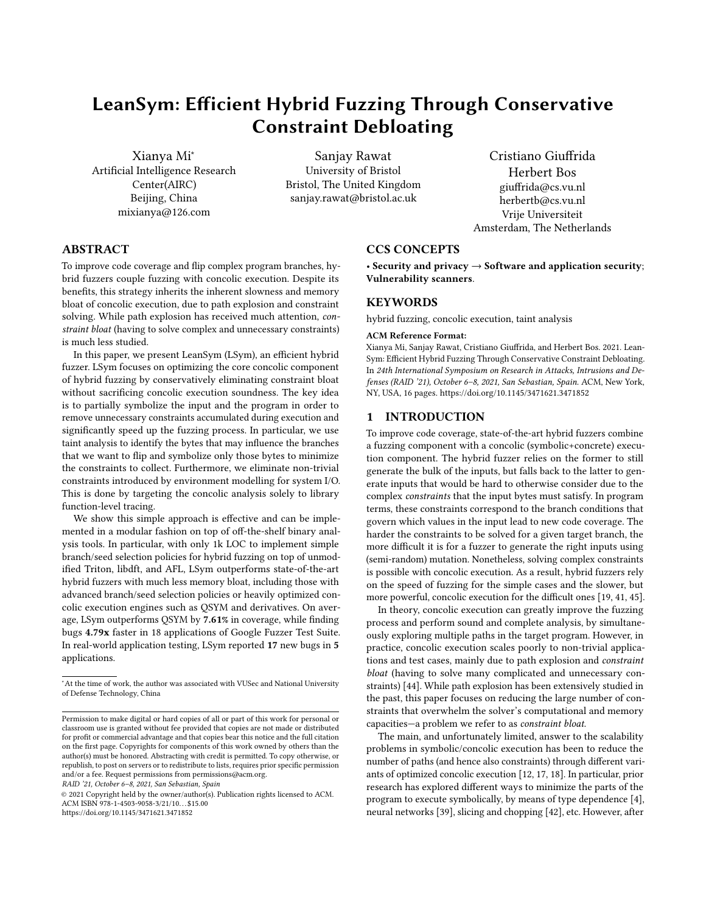#### <span id="page-9-1"></span>RAID '21, October 6–8, 2021, San Sebastian, Spain Xianya Mi, Sanjay Rawat, Cristiano Giuffrida, and Herbert Bos



(a) Time consumption in hours on guetzli-2017- (b) Memory consumption in MB on guetzli-(c) Time consumption in hours on libarchive-30 for growing input size (in bytes) 2017-30 for growing input size (in bytes) 2017-01-04 for growing input size (in bytes)



(d) Memory consumption in MB on libarchive-(e) Time consumption in hours on boringssl-(f) Memory consumption in MB on boringssl-2017-01-04 for growing input size (in bytes) 2016-01-12 for growing input size (in bytes) 2016-01-12 for growing input size (in bytes)



for growing input size (in bytes) 1.2.56 for growing input size (in bytes)

Figure 2: Time and memory cost for QSYM, Triton and LSym

how our single-input improvements in concolic execution time and coverage in particular are crucial to improve the effectiveness of hybrid fuzzing.

<span id="page-9-0"></span>8.3.1 Effect of not tainting implicit flows. We measure the effect of not considering implicit flows by following a simple strategy. We collect the constraints for a target branch and generate the corresponding input. If we are able to flip the branch, then we consider it a case where lack of implicit has not affected the result. In our experiment, we run libxml2-v2.9.2 and try to negate every branch of the binary with a xml seed file. Then we analyse the line coverage of source code to see if each branch is negated successfully. The results show that out of 62 branches in the binary, 45 are negated successfully, while 17 fail. The ratio of successfully negated branches is 72.6%. We consider this result good enough for the fuzzing application, in spite of loosing few constraints. The results presented in the previous section [8.1](#page-6-1) on other applications also manifest the similar trends. For example, in the case of objdump, LSym reached and flipped branches showing that the lack of implicit taintflow does not affect the accuracy substantially. In the next subsection, we will show the results of hybrid fuzzing evaluation.

#### 8.4 Hybrid fuzzing evaluation

So far we have evaluated the performance of LSym with respect to specific dimensions individually, this section evaluates LSym as <span id="page-9-2"></span>Table 7: Improvement on concolic execution time and coverage for LSym vs. its Triton baseline. function=function-level tracing only. taint=taint-assisted partial symbolization only. LSym =both taint and function combined.

| application          |         |          | Triton  | function | taint     | LSym      |
|----------------------|---------|----------|---------|----------|-----------|-----------|
|                      |         | time     | 0:24:19 | 0:25:17  | 0:21:06   | 0:17:05   |
| boringssl-2016-02-12 | input 1 | coverage | 1090    | 1087     | 1090      | 1090      |
|                      | input 2 | time     | 0:30:32 | 0:30:19  | 0:20:49   | 0:13:51   |
|                      |         | coverage | 1131    | 1146     | 1156      | 1151      |
|                      | input 1 | time     | 0:01:42 | 0:01:21  | 0:01:16   | 0:01:22   |
| guetzli-2017-3-30    |         | coverage | 91      | 91       | 108       | 108       |
|                      | input 2 | time     | 0:20:37 | 0:18:48  | 0:09:33   | 0:07:55   |
|                      |         | coverage | 99      | 99       | 99        | 99        |
|                      |         | time     | 1:08:27 | 0:58:08  | 0:52:48   | 0:52:17   |
| objdump-2.34         | input 1 | coverage | 1499    | 1499     | 1498      | 1499      |
|                      | input 2 | time     | 1:03:18 | 0:52:01  | 0:50:23   | 0:49:38   |
|                      |         | coverage | 784     | 784      | 784       | 784       |
|                      | input 1 | time     | 0:15:56 | 0:15:15  | 0:14:25   | 0:13:51   |
| libpng-1.2.56        |         | coverage | 987     | 987      | 1087      | 1087      |
|                      | input 2 | time     | 0:14:22 | 0:12:40  | 0:04:27   | 0:04:04   |
|                      |         | coverage | 1164    | 1164     | 1177      | 1177      |
| average improvement  |         | time     |         | $-9.39%$ | $-30.65%$ | $-37,54%$ |
|                      |         | coverage |         | $+0,12%$ | $+4,01%$  | $+3,96%$  |

a hybrid fuzzer in terms of code-coverage and bug detection. We use two different datasets for our evaluation: the Google Fuzzer Test Suite (GFTS) [\[2\]](#page-13-10) and five real-world applications. We use the real-world applications to show that LSym is practical and finds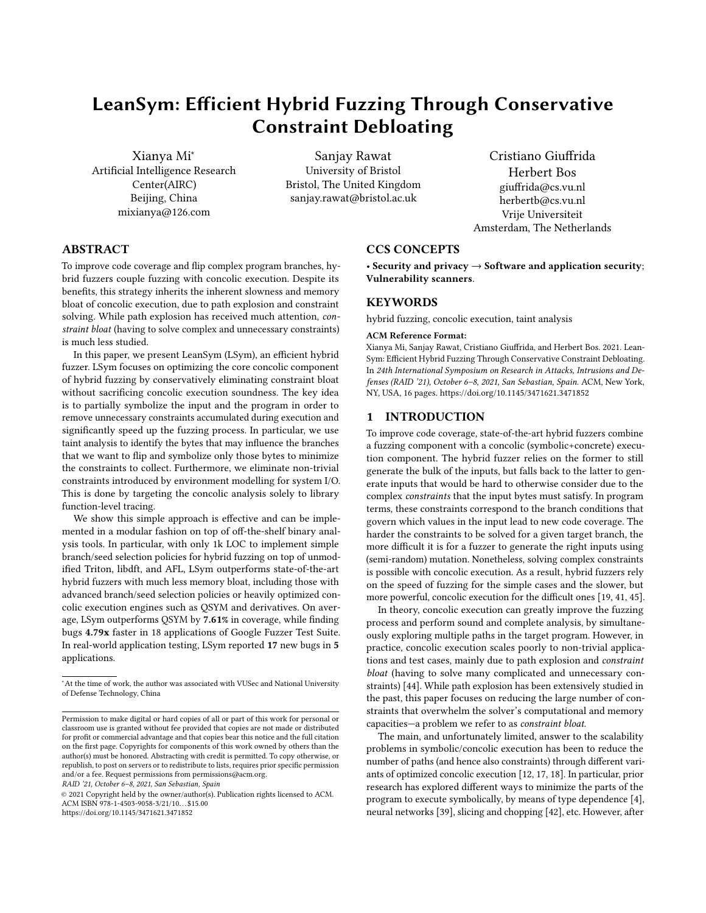new bugs in real software.In all our experiments, we fuzz each application for 24-hours.

8.4.1 Experimental Results on Google Fuzzer Test Suite. The Google Fuzzer Test Suite contains a set of 24 applications with different functionality and complexity, and a clear description of their (known) vulnerabilities. Though the test suite has 24 applications, due to issues with Triton and libdft, we could only run LSym successfully on 18 of them. Table [8](#page-10-0) shows the six applications that failed to run with a explanation for the failure. In our comparison, we include both QSYM and the widely used AFL [\[46\]](#page-14-3) fuzzer. Recall that in our implementation, LSym uses AFL as the main (front-end) fuzzer and Triton as the backend concolic engine).

#### <span id="page-10-0"></span>Table 8: Applications in Google Fuzzer Test Suite that fail to run by LSym.

| applications          | reason for failure                    |
|-----------------------|---------------------------------------|
| freetype2-2017        |                                       |
| lcms-2017-03-21       |                                       |
| libssh-2017-1272      | libdft64 fails to trace tainted bytes |
| openthread-2018-02-27 |                                       |
| openssl-1.1.0c        | Triton fails to disassemble the code  |
| wpantund-2018-02-27   |                                       |

We run a 24-hour test on each application with four methods (AFL, Triton, QSYM and LSym) for six times and compare the results on the geometric (geo) means over these runs. Table [9](#page-11-0) shows the overall results of our fuzzing evaluation. Note that none of the fuzzers found any crash in the bottom 7 applications in the table. For all the 11 applications where we did find crashes, LSym found the target (known) vulnerability in each application much faster than QSYM. Besides, LSym found the target vulnerability in two applications (harfbuzz-1.3.2 and sqlite-2016-11-14) where AFL, QSYM and Triton fail to find any crash. However, while the coverage of LSym better on average, it is not always better than QSYM. For example, for applications like libxml2-v2.9.2, libarchive-2017-01-04, and libpng-1.2.56, the average coverage of LSym is not as good as QSYM. There are two reasons, as we have shown in the previous sections. First, QSYM generates more coverage in other (unrelated) libraries, because it analyzes all branches in the application. Second, QSYM and Triton more frequently perturb previous constraints in optimistic code and in doing so may lead to execution elswhere (often error handling code).

In general, for the 18 applications, the increase in percentage of coverage and time speed-up rate for LSym is shown in Table [9](#page-11-0) and Table [10.](#page-12-0) On average, LSym achieves 7.13% more coverage and hits the target vulnerability <sup>2</sup>.81<sup>×</sup> faster than AFL; 7.61% more coverage and hits the target vulnerability <sup>4</sup>.79<sup>×</sup> faster than QSYM; 10.87% more coverage and hits the target vulnerability <sup>2</sup>.67<sup>×</sup> faster than QSYM. Finally, it finds vulnerabilities in two applications where AFL, QSYM and Triton failed to find anything in 24 hours.

8.4.2 Finding new bugs in real-world applications. In addition to Google FTS, as a case study for bug finding, we run QSYM and LSym on the latest available versions of 5 real-world applications, each for 24 hours. Table [11](#page-12-1) presents our results. As shown in Table [11,](#page-12-1) we found 17 new bugs across applications. For crash traging, we used crashwalk [\[1\]](#page-13-29), useful to group crashes into clusters and simplify further manual analysis. We then used AddressSanitizer to run each crashing input and manually inspected the root cause. We reported all the new bugs to the developers with detailed information. Four bugs have already been fixed at the time of writing. As shown in Table [11,](#page-12-1) QSYM fails to find 9 of the new bugs found by LSym. We also notice that LSym finds the new bug much more faster than QSYM in most cases.

# 9 RELATED WORK

In this section, we survey the most relevant related work on concolic execution and hybrid fuzzing.

# 9.1 Concolic Execution

A number of solutions have previously suggested strategies to make symbolic or concolic execution more efficient. The chaining approach [\[16\]](#page-13-12) has pioneered work on using data-flow information to accelerate concolic execution, using data dependency analysis to accelerate testing. SAGE [\[18\]](#page-13-4) combines symbolic execution with coverage-maximizing heuristics to mitigate its scalability problems and find bugs quickly. STINGER [\[4\]](#page-13-5) uses static typedependency analysis to symbolically execute only the parts of the program that may interact with symbolic values. Triton [\[38\]](#page-13-8) is an instrumentation-based dynamic binary analysis tool which implements concolic execution and optimizes the collected constraints. Triton supports emulation for all the Linux x86/x64 system calls, thus environment-related constraints can be introduced by tracing system calls and symbolizing the corresponding memory locations. Similar to QSYM [\[45\]](#page-14-0), Triton also supports non-sound constraint debloating policies by only focusing on the constraints of a target branch. Chopper [\[42\]](#page-14-2) is a source-based solution which allows users to exclude uninteresting parts of the code during symbolic execution, using static analysis to detect and resolve side effects. Other solutions focus on optimizing constraint solving itself. For instance, NEUEX [\[39\]](#page-13-6) uses neural networks to check satisfiability of mixed constraints and solve them efficiently. Compared to all these solutions, LSym focuses on optimizing off-the-shelf concolic execution tools by means of conservative constraint debloating, which is a simple and effective way to improve the scalability of concolic execution without much compromising its soundness. Very recently Poeplau et al. proposed SymCC [\[34\]](#page-13-30) and SymQEMU [\[35\]](#page-13-31)– compilation-based symbolic execution technique for source and binary solutions respectively. We believe that the technique presented in LSym can further enhance symbolic execution performance by combining above mentioned techniques with taintflow analyses (e.g. LLVM DSan pass with SymCC and TaintBochs [\[13\]](#page-13-32)/PANDA [\[15\]](#page-13-33) with SymQemu).

#### 9.2 Hybrid Fuzzing

Combining concolic execution with fuzzing in a hybrid fuzzing system has recently been gaining momentum in the research community. Driller [\[41\]](#page-13-1) suggests triggering concolic execution only when fuzzing gets "stuck" to reduce the scalability impact. Other approaches suggest more sophisticated seed/branch selection policies. For instance, DigFuzz [\[47\]](#page-14-5) proposes a Probabilistic Path Prioritization method which defines the complexity of each branch and only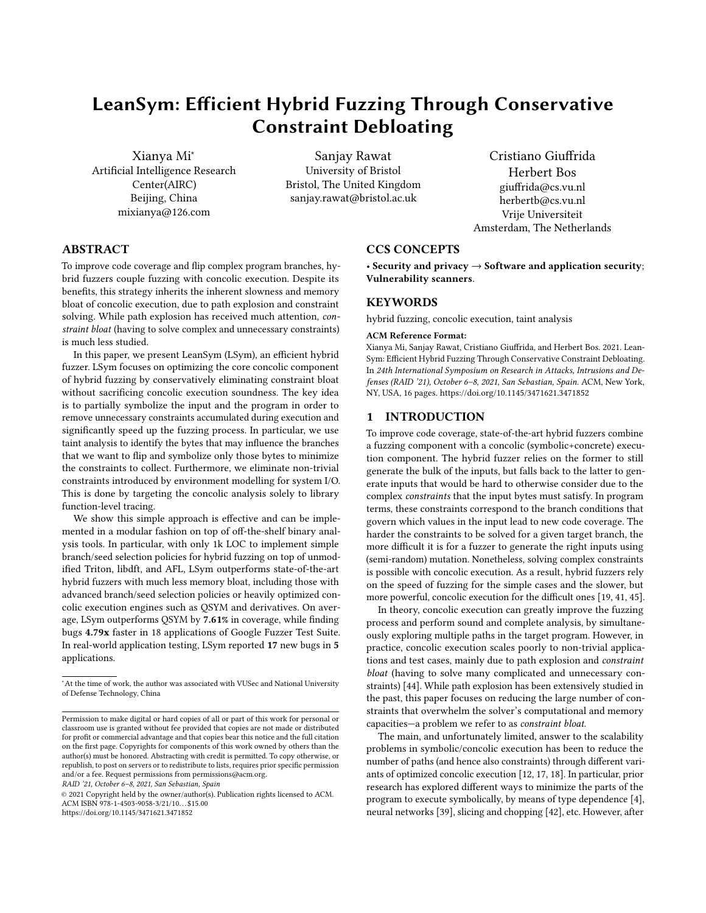<span id="page-11-0"></span>Table 9: Fuzzing result on Google Fuzzer Test Suite with AFL, Triton, QSYM, and LSym. Due to space paucity, we divided the table into two and Table [10](#page-12-0) shows results for the remaining applications. *geomean* column shows means that spans over coverage column of Table [10.](#page-12-0)

| applications              | method                   | code line coverage | time to find target bug | improvement on coverage | improvement (in times) on finding bugs |
|---------------------------|--------------------------|--------------------|-------------------------|-------------------------|----------------------------------------|
|                           | <b>AFL</b>               | 40.65              | 00:22:46                | 4.85%                   | 3.52                                   |
|                           | <b>QSYM</b>              | 39.83              | 00:24:52                | 7.00%                   | 3.85                                   |
| c-ares-CVE-2016-5180      | <b>Triton</b>            | 40.48              | 00:25:52                | 5.29%                   | 4.00                                   |
|                           | <b>LSYM</b>              | 42.62              | 00:06:28                |                         |                                        |
|                           | <b>AFL</b>               | 3950.16            | 04:27:02                | 16.74%                  | 7.06                                   |
|                           | <b>QSYM</b>              | 3721.57            | 06:00:08                | 23.91%                  | 9.51                                   |
| guetzli-2017-3-30         | <b>Triton</b>            | 3605.52            | 01:53:47                | 27.89%                  | 3.01                                   |
|                           | <b>LSYM</b>              | 4611.22            | 00:37:51                |                         |                                        |
|                           | <b>AFL</b>               | 3473.19            | 00:01:08                | 1.03%                   | 1.84                                   |
|                           | <b>QSYM</b>              | 3392.09            | 00:04:16                | 3.44%                   | 6.92                                   |
| json-2017-02-12           | <b>Triton</b>            | 3463.99            | 00:01:12                | 1.29%                   | 1.95                                   |
|                           | <b>LSYM</b>              | 3508.83            | 00:00:37                |                         |                                        |
|                           | <b>AFL</b>               | 6046.78            | 13:07:29                | 4.33%                   | 5.19                                   |
| libxml2-v2.9.2            | <b>QSYM</b>              | 6970.87            | 09:19:53                | $-9.50%$                | 3.69                                   |
|                           | <b>Triton</b>            | 5910.36            | 04:33:38                | 6.73%                   | 1.80                                   |
|                           | <b>LSYM</b>              | 6308.41            | 02:31:38                |                         |                                        |
|                           | <b>AFL</b>               | 11527.11           | 00:14:30                | 1.21%                   | 1.07                                   |
| llvm-libcxxabi-2017-01-27 | <b>QSYM</b>              | 10970.74           | 00:21:02                | 6.34%                   | 1.56                                   |
|                           | <b>Triton</b>            | 11066.52           | 00:23:07                | 5.42%                   | 1.71                                   |
|                           | <b>LSYM</b>              | 11666.78           | 00:13:30                |                         |                                        |
|                           | <b>AFL</b>               | 3380.02            | 00:37:17                | 0.64%                   | 4.34                                   |
| openssl-1.0.2d            | <b>QSYM</b>              | 3351.56            | 00:29:16                | 1.49%                   | 3.41                                   |
|                           | <b>Triton</b>            | 3354.88            | 00:43:07                | 1.39%                   | 5.02                                   |
|                           | <b>LSYM</b>              | 3401.59            | 00:08:35                |                         |                                        |
|                           | <b>AFL</b>               | 23737.37           | 00:58:29                | 11.01%                  | 1.34                                   |
| pcre2-10.00               | <b>QSYM</b>              | 25448.9            | 01:21:47                | 3.54%                   | 1.87                                   |
|                           | <b>Triton</b>            | 24879.05           | 01:03:36                | 5.91%                   | 1.45                                   |
|                           | <b>LSYM</b>              | 26350.23           | 00:43:45                |                         |                                        |
|                           | <b>AFL</b>               | 5414.22            | 01:30:51                | 3.32%                   | 4.41                                   |
| re2-2014-12-09            | <b>QSYM</b>              | 5394.16            | 10:17:47                | 3.70%                   | 29.97                                  |
|                           | <b>Triton</b>            | 5476.92            | 01:24:59                | 2.13%                   | 4.12                                   |
|                           | <b>LSYM</b>              | 5593.75            | 00:20:37                |                         |                                        |
|                           | <b>AFL</b>               | 3145.95            | 11:19:53                | 2.53%                   | 1.67                                   |
| vorbis-2017-12-11         | <b>QSYM</b>              | 3130.53            | 22:03:54                | 3.03%                   | 3.26                                   |
|                           | <b>Triton</b>            | 3040.56            | 21:20:50                | 6.08%                   | 3.15                                   |
|                           | <b>LSYM</b>              | 3225.49            | 06:46:06                |                         |                                        |
|                           | <b>AFL</b>               | 12235.46           |                         | 8.63%                   | new                                    |
| harfbuzz-1.3.2            | <b>QSYM</b>              | 12217.58           |                         | 8.79%                   | new                                    |
|                           | <b>Triton</b>            | 12535.6            |                         | 6.03%                   | new                                    |
|                           | <b>LSYM</b>              | 13291.75           | 16:06:20                |                         |                                        |
|                           | <b>AFL</b>               | 8485.51            |                         | 19.03%                  | new                                    |
| sqlite-2016-11-14         | $\overline{\text{QSYM}}$ | 7393.5             |                         | 36.61%                  | new                                    |
|                           | <b>Triton</b>            | 5519.13            |                         | 83.01%                  | new                                    |
|                           | <b>LSYM</b>              | 10100.32           | 23:25:35                |                         |                                        |
|                           | <b>AFL</b>               |                    |                         | 7.13%                   | 2.81                                   |
| geomean                   | <b>QSYM</b>              |                    |                         | 7.61%                   | 4.79                                   |
|                           | <b>Triton</b>            |                    |                         | 10.87%                  | 2.67                                   |

uses concolic execution on these hardest-to-solve branches. Similarly, LEGION [\[29\]](#page-13-34) applies Monte Carlo tree search algorithm to identify the most promising location to explore next and applies a form of directed fuzzing to reach there. In doing so, it applies symbolic execution to flip rare branch that is guarded by hard constraints. LSym can benefit from LEGIONn's branch selection policy to decide which node to target next for branch flipping. MEUZZ [\[10\]](#page-13-22) and SAVIOR [\[11\]](#page-13-23) suggest more sophisticated polices based on coverageor bug-oriented predictions (respectively). Pangolin [\[22\]](#page-13-35) proposes a incremental method called "polyhedral path abstraction", in order to reuse precious computation results. SDHF [\[28\]](#page-13-36) suggests using hybrid fuzzing in a directed fuzzing scenario, by identifying the

sequence of statements before the target. HFL [\[26\]](#page-13-37) addresses kernelspecific hybrid fuzzing challenges. A very different and interesting hybrid fuzzing approach is implemented in TFuzz [\[32\]](#page-13-25) wherein the program is transformed by disabling input checks in the program so that input generation is fast. Further, to reduce the false positives, symbolic execution is used to verify the validity of the detected bug. As symbolic execution is expensive, TFuzz applies it on selected inputs thereby reducing the overhead on such a heavy technique. However, as also noted in DigFuzz [\[47\]](#page-14-5), main contribution of most of the hybrid-fuzzing solutions focuses on the deriving intelligent ways of optimizing the invocation of concolic execution due to its known performance overhead. LSym, on the other hand, focuses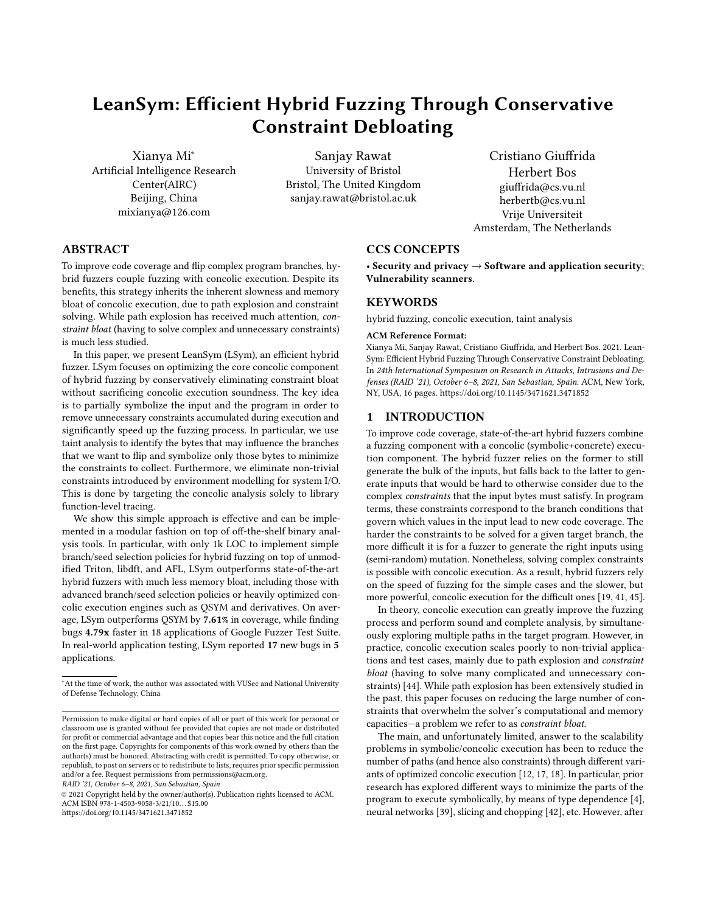#### <span id="page-12-0"></span>Table 10: (Table [9](#page-11-0) conti..) Fuzzing result continues on Google Fuzzer Test Suite with AFL, Triton, QSYM, and LSym. where none of the fuzzers found any bug.

| applications          | method        | code line coverage | time to find target bug | improvement on coverage | improvement (in times) on finding bugs |
|-----------------------|---------------|--------------------|-------------------------|-------------------------|----------------------------------------|
|                       | <b>AFL</b>    | 1488.95            |                         | 3.19%                   |                                        |
| boringssl-2016-01-12  | <b>QSYM</b>   | 1443.25            |                         | 6.46%                   |                                        |
|                       | <b>Triton</b> | 1388.49            |                         | 10.66%                  |                                        |
|                       | <b>LSYM</b>   | 1536.5             |                         |                         |                                        |
|                       | <b>AFL</b>    | 5361.98            |                         | 8.70%                   |                                        |
| libarchive-2017-01-04 | <b>QSYM</b>   | 6580.91            |                         | $-11.43%$               |                                        |
|                       | <b>Triton</b> | 5195.87            |                         | 12.18%                  |                                        |
|                       | <b>LSYM</b>   | 5828.69            |                         |                         |                                        |
|                       | <b>AFL</b>    | 3910.65            |                         | 8.01%                   |                                        |
| libjpeg-turbo-07-2017 | <b>QSYM</b>   | 3803.15            |                         | 11.06%                  |                                        |
|                       | <b>Triton</b> | 3002.17            |                         | 40.69%                  |                                        |
|                       | <b>LSYM</b>   | 4223.78            |                         |                         |                                        |
|                       | <b>AFL</b>    | 1324.64            |                         | 2.96%                   |                                        |
| libpng-1.2.56         | <b>QSYM</b>   | 1477.36            |                         | $-7.69%$                |                                        |
|                       | <b>Triton</b> | 1333.01            |                         | 2.31%                   |                                        |
|                       | <b>LSYM</b>   | 1363.79            |                         |                         |                                        |
|                       | <b>AFL</b>    | 631.94             |                         | 10.54%                  |                                        |
| openssl-1.0.1f        | <b>QSYM</b>   | 660.21             |                         | 5.81%                   |                                        |
|                       | <b>Triton</b> | 540.96             |                         | 29.13%                  |                                        |
|                       | <b>LSYM</b>   | 698.56             |                         |                         |                                        |
|                       | <b>AFL</b>    | 1281.31            |                         | 5.25%                   |                                        |
| proj4-2017-08-14      | <b>QSYM</b>   | 1325.5             |                         | 1.74%                   |                                        |
|                       | <b>Triton</b> | 1263.51            |                         | 6.73%                   |                                        |
|                       | <b>LSYM</b>   | 1348.59            |                         |                         |                                        |
|                       | <b>AFL</b>    | 14.56              |                         | 14671.43%               |                                        |
| woff2-2016-05-06      | <b>QSYM</b>   | 779.9              |                         | 175.77%                 |                                        |
|                       | <b>Triton</b> | 42.04              |                         | 5015.89%                |                                        |
|                       | <b>LSYM</b>   | 2150.72            |                         |                         |                                        |

#### Table 11: New bugs found by LSym vs. QSYM. WA=write access, RA= read acces,LL=llvm-libcxxabi-ce3db12

<span id="page-12-1"></span>

|                |                  |                   | status          |       |          | LSym  |                    |       |          | <b>OSYM</b> |                    |
|----------------|------------------|-------------------|-----------------|-------|----------|-------|--------------------|-------|----------|-------------|--------------------|
|                |                  | bug type          |                 | found | coverage | crash | new bug found time | found | coverage | crash       | new bug found time |
|                | $size-2.34$      | null point dref   | rep & fix       | yes   | 4666     | 20    | 0:05:41            | yes   | 5088     | 18          | 0:06:43            |
| 2              |                  | heap overflow     | rep & fix       | yes   |          |       |                    | no    |          |             |                    |
| 3              |                  | WA violation      | rep & fix       | yes   |          |       |                    | yes   |          |             |                    |
| $\overline{4}$ | bento4-06c39d9   | null point dref   | rep $&$ fix     | ves   | 8877     | 1055  | 0:00:05            | no    | 9886     | 251         | 0:19:21            |
| 5              |                  | null point dref   | reported        | yes   |          |       |                    | yes   |          |             |                    |
| 6              |                  | heap overflow     | reported        | yes   |          |       |                    | no    |          |             |                    |
| 7              |                  | heap UaF          | reported        | yes   |          |       |                    | yes   |          |             |                    |
| 8              | vasm-c9db6d7     | RA violation      | reported        | yes   | 17258    | 964   | 0:21:42            | yes   | 16525    | 188         | 0:09:35            |
| $\overline{9}$ |                  | RA violation      | reported        | yes   |          |       |                    | no    |          |             |                    |
| 10             |                  | stack overflow    | reported        | yes   |          |       |                    | no    |          |             |                    |
| 11             |                  | heap overflow     | reported        | yes   |          |       |                    | no    |          |             |                    |
| 12             |                  | illegal inst.     | reported        | yes   |          |       |                    | yes   |          |             |                    |
| 13             | binaryen-0c58de1 | assert fail.      | reported        | ves   | 3619     | 610   | 0:00:05            | no    | 7730     | 529         | 0:00:05            |
| 14             |                  | WA violation      | reported        | yes   |          |       |                    | no    |          |             |                    |
| 15             |                  | assert fail(16x)  | reported<br>yes |       |          |       |                    | yes   |          |             |                    |
| 16             | LL               | assertion failure | reported        | yes   | 7147     | 147   | 0:12:29            | yes   | 7438     | 71          | 0:52:02            |
| 17             |                  | stack overflow    | reported        | ves   |          |       |                    | no    |          |             |                    |

on improving the performance of concolic execution to improve the hybrid fuzzing. From this perspective, LSym can use several of these techniques to further improve the overall performance and vice-a-versa. From this perspective, the closest to our technique is QSYM [\[45\]](#page-14-0), which we have discussed and compared thoroughly in this paper.

Other fuzzers have previously used dynamic taint analysis to find bugs more quickly. However, unlike LSym, existing taint-assisted fuzzers all rely on dynamic taint analysis to improve input mutation. For instance, VUzzer [\[37\]](#page-13-24) uses taint analysis to identify which bytes

can influence the target branch and only mutates those bytes. Angora [\[9\]](#page-13-38) and derivatives (e.g., ParmeSan [\[31\]](#page-13-39)) use a similar strategy but uses gradient descent-based mutation rather than random or magic number-based mutation like VUzzer. TIFF [\[23\]](#page-13-40) implements bug-directed mutation by inferring the type of the input bytes using dynamic taint analysis.

#### 10 CONCLUSION

In this paper, we presented LeanSym (LSym), an efficient hybrid fuzzer based on constraint debloating. Rather than custom-optimizing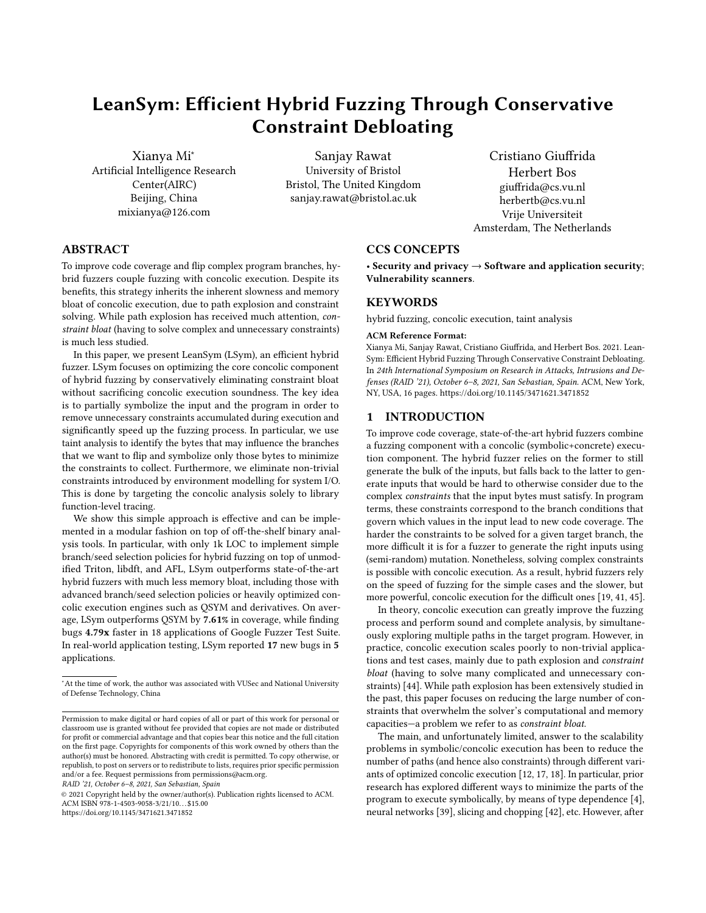the underlying concolic execution engine for hybrid fuzzing, LSym intelligently combines run-of-the-mill binary analysis tools to eliminate unnecessary constraints during concolic execution and speed up input generation in fuzzing (as an application). In particular, LSym focuses on two simple constraint debloating strategies, namely function-level tracing for system I/O emulation and taint-assisted partial input symbolization. These strategies result in more efficient and memory-conscious operations of the core concolic execution component. More importantly, despite the simple branch/seed selection policies and glue code for hybrid fuzzing implemented in only 1k LOC, LSym outperforms state-of-the-art custom-optimized hybrid fuzzers and finds more bugs in real-world applications.

While developing LSym, we also notice limitations of our current implementation that provide a room for further improvements. We have not empirically tested the effect of implementing implicit taintflows on performance in terms of overhead and accuracy. As noted earlier, function-level tracing involved manually creating the summaries of relevant syscalls and library functions. This functionality can be enhanced further by adopting function summary approach of angr, for example. A further area of improvement comes from a more intelligent approach for input and branch selection. Overall, we believe LSym provides a new hybrid fuzzing baseline that is practical, modular, and easily extensible moving forward. To foster more research in the area, we plan to open source our LSym prototype in the near future.

#### ACKNOWLEDGMENTS

We thank our shepherd, Nathan Burow, and the anonymous reviewers for their feedback. This work was supported by the Netherlands Organisation for Scientific Research through grants NWO "TROP-ICS" (628.001.030), "INTERSECT", and "Theseus" and by the EKZ through grant "Memo" . Any opinions, findings, and conclusions or recommendations expressed in this paper are those of the authors and do not necessarily reflect the views of any of the sponsors.

#### REFERENCES

- <span id="page-13-29"></span>[1] [n.d.]. crashwalk. https://github.com/bnagy/crashwalk.
- <span id="page-13-10"></span>[n.d.]. Google Fuzzer Test Suite.<https://github.com/google/fuzzer-test-suite>
- <span id="page-13-9"></span>[3] [n.d.]. libdft64. https://github.com/vusec/vuzzer64/.
- <span id="page-13-5"></span>[4] Saswat Anand, Alessandro Orso, and Mary Jean Harrold. 2007. Type-Dependence Analysis and Program Transformation for Symbolic Execution. In Proc. TACAS'07. Springer-Verlag, 117–133.
- <span id="page-13-11"></span>[5] Jacob Burnim and Koushik Sen. 2008. Heuristics for Scalable Dynamic Test Generation. In Proc. ASE'08. 443–446.<https://doi.org/10.1109/ASE.2008.69>
- <span id="page-13-17"></span>[6] Cristian Cadar, Daniel Dunbar, and Dawson Engler. 2008. KLEE: Unassisted and Automatic Generation of High-Coverage Tests for Complex Systems Programs. In Proc. OSDI'08. 209–224.
- <span id="page-13-21"></span>[7] Lorenzo Cavallaro, Prateek Saxena, and R. Sekar. 2008. On the Limits of Information Flow Techniques for Malware Analysis and Containment. In DIMVA. Springer Berlin Heidelberg, Berlin, Heidelberg, 143–163.
- <span id="page-13-15"></span>[8] Sang Kil Cha, Thanassis Avgerinos, Alexandre Rebert, and David Brumley. 2012. Unleashing Mayhem on Binary Code. In Proc.S&P'12. IEEE Computer Society, 380–394.
- <span id="page-13-38"></span>[9] Peng Chen and Hao Chen. 2018. Angora: Efficient fuzzing by principled search. In IEEE S&P'18. San Francisco, CA, USA.
- <span id="page-13-22"></span>[10] Yaohui Chen, Mansour Ahmadi, Boyu Wang, Long Lu, et al. 2020. MEUZZ: Smart Seed Scheduling for Hybrid Fuzzing. arXiv preprint arXiv:2002.08568 (2020).
- <span id="page-13-23"></span>[11] Yaohui Chen, Peng Li, Jun Xu, Shengjian Guo, Rundong Zhou, Yulong Zhang, Tao Wei, and Long Lu. [n.d.]. SAVIOR: Towards Bug-Driven Hybrid Testing. In 2020 IEEE Symposium on Security and Privacy (SP). 15–31.
- <span id="page-13-2"></span>[12] Vitaly Chipounov, Volodymyr Kuznetsov, and George Candea. 2012. The S2E Platform: Design, Implementation, and Applications. ACM Trans. Comput. Syst. 30, 1 (2012).
- <span id="page-13-32"></span>[13] Jim Chow, Ben Pfaff, Tal Garfinkel, Kevin Christopher, and Mendel Rosenblum. 2004. Understanding Data Lifetime via Whole System Simulation. In Usenix Sec'04 (SSYM'04). 22.
- <span id="page-13-14"></span>[14] TheAnh Do, A. C. M. Fong, and Russel Pears. 2013. Dynamic Symbolic Execution Guided by Data Dependency Analysis for High Structural Coverage. In Evaluation of Novel Approaches to Software Engineering. Springer Berlin Heidelberg, 3–15.
- <span id="page-13-33"></span>[15] Brendan Dolan-Gavitt, Josh Hodosh, Patrick Hulin, Tim Leek, and Ryan Whelan. 2015. Repeatable Reverse Engineering with PANDA. In PPREW'15. Article 4.
- <span id="page-13-12"></span>[16] Roger Ferguson and Bogdan Korel. 1996. The Chaining Approach for Software Test Data Generation. ACM Trans. Softw. Eng. Methodol. 5, 1 (Jan. 1996), 63–86. <https://doi.org/10.1145/226155.226158>
- <span id="page-13-3"></span>[17] Patrice Godefroid, Nils Klarlund, and Koushik Sen. 2005. DART: directed automated random testing. SIGPLAN Not. 40, 6 (2005), 213–223.
- <span id="page-13-4"></span>[18] Patrice Godefroid, Michael Y. Levin, and David Molnar. 2008. Automated Whitebox Fuzz Testing. In NDSS'08. Internet Society.
- <span id="page-13-0"></span>[19] Patrice Godefroid, Michael Y. Levin, and David Molnar. 2012. SAGE: Whitebox Fuzzing for Security Testing. Queue 10, 1 (Jan. 2012), 20–27.
- <span id="page-13-7"></span>[20] Istvan Haller, Asia Slowinska, Matthias Neugschwandtner, and Herbert Bos. 2013. Dowsing for Overflows: A Guided Fuzzer to Find Buffer Boundary Violations. In USENIX Sec'13). 49–64.
- <span id="page-13-13"></span>[21] S. Horwitz, T. Reps, and D. Binkley. 1988. Interprocedural Slicing Using Dependence Graphs. In Proc. PLDI'88. ACM, 35–46.
- <span id="page-13-35"></span>[22] H. Huang, P. Yao, R. Wu, Q. Shi, and C. Zhang. 2020. Pangolin: Incremental Hybrid Fuzzing with Polyhedral Path Abstraction. In IEEE Symposium SP'20. 1199–1213.
- <span id="page-13-40"></span>[23] Vivek Jain, Sanjay Rawat, Cristiano Giuffrida, and Herbert Bos. 2018. TIFF: Using Input Type Inference To Improve Fuzzing. In Proc. ACSAC'18. ACM, 505–517.
- <span id="page-13-26"></span>[24] Zu-Ming Jiang, Jia-Ju Bai, Kangjie Lu, and Shi-Min Hu. 2020. Fuzzing Error Handling Code using Context-Sensitive Software Fault Injection. In USENIX Security 20. USENIX Association, 2595-2612.
- <span id="page-13-19"></span>[25] Vasileios P. Kemerlis, Georgios Portokalidis, Kangkook Jee, and Angelos D. Keromytis. 2012. Libdft: Practical Dynamic Data Flow Tracking for Commodity Systems. In SIGPLAN/SIGOPS VEE '12. ACM, 121–132.
- <span id="page-13-37"></span>[26] Kyungtae Kim, Dae R. Jeong, Chung Hwan Kim, Yeongjin Jang, Insik Shin, and Byoungyoung Lee. 2020. HFL: Hybrid Fuzzing on the Linux Kernel. In NDSS'20.
- <span id="page-13-28"></span>[27] George Klees, Andrew Ruef, Benji Cooper, Shiyi Wei, and Michael Hicks. 2018. Evaluating Fuzz Testing. In CCS18'18. 2123–2138.
- <span id="page-13-36"></span>[28] H. Liang, L. Jiang, L. Ai, and J. Wei. 2020. Sequence Directed Hybrid Fuzzing. In Proc. SANER'20. 127–137.
- <span id="page-13-34"></span>[29] Dongge Liu, Gidon Ernst, Toby Murray, and Benjamin I.P. Rubinstein. 2020. LEGION: Best-First Concolic Testing. In Proc. ASE'20. 54–65.
- <span id="page-13-20"></span>[30] Chi-Keung Luk, Robert Cohn, Robert Muth, Harish Patil, Artur Klauser, Geoff Lowney, Steven Wallace, Vijay Janapa Reddi, and Kim Hazelwood. 2005. Pin: Building Customized Program Analysis Tools with Dynamic Instrumentation. In PLDI'05 (Chicago, IL, USA). ACM, New York, NY, USA, 190–200.
- <span id="page-13-39"></span>[31] Sebastian Österlund, Kaveh Razavi, Herbert Bos, and Cristiano Giuffrida. 2020. ParmeSan: Sanitizer-guided Greybox Fuzzing. In USENIX SEC'20. USENIX Association.
- <span id="page-13-25"></span>[32] Hui Peng, Yan Shoshitaishvili, and Mathias Payer. 2018. T-Fuzz: Fuzzing by Program Transformation. In Proc. IEEE S & P'18. 697–710. [https://doi.org/10.](https://doi.org/10.1109/SP.2018.00056) [1109/SP.2018.00056](https://doi.org/10.1109/SP.2018.00056)
- <span id="page-13-27"></span>[33] Sebastian Poeplau and Aurélien Francillon. 2019. Systematic Comparison of Symbolic Execution Systems: Intermediate Representation and Its Generation. In Proc. ACSAC'19. 163–176.
- <span id="page-13-30"></span>[34] Sebastian Poeplau and Aurélien Francillon. 2020. Symbolic execution with SymCC: Don't interpret, compile!. In USENIX Security 20. 181–198.
- <span id="page-13-31"></span>[35] Sebastian Poeplau and Aurélien Francillon. 2021. SymQEMU: Compilation-based symbolic execution for binaries. In NDSS'21.
- <span id="page-13-18"></span>[36] Corina S. Păsăreanu, Peter C. Mehlitz, David H. Bushnell, Karen Gundy-Burlet, Michael Lowry, Suzette Person, and Mark Pape. 2008. Combining Unit-Level Symbolic Execution and System-Level Concrete Execution for Testing Nasa Software. In Proc. ISSTA'08. ACM, 15–26.
- <span id="page-13-24"></span>[37] Sanjay Rawat, Vivek Jain, Ashish Kumar, Lucian Cojocar, Cristiano Giuffrida, and Herbert Bos. 2017. VUzzer: Application-aware Evolutionary Fuzzing. In NDSS.
- <span id="page-13-8"></span>[38] Florent Saudel and Jonathan Salwan. 2015. Triton: A Dynamic Symbolic Execution Framework. In Symposium sur la sécurité des technologies de l'information et des communications, SSTIC, France, Rennes, June 3-5 2015. SSTIC, 31–54.
- <span id="page-13-6"></span>[39] Shiqi Shen, Shweta Shinde, Soundarya Ramesh, Abhik Roychoudhury, and Prateek Saxena. 2019. Neuro-Symbolic Execution: Augmenting Symbolic Execution with Neural Constraints. In Proc. NDSS'20.
- <span id="page-13-16"></span>[40] Yan Shoshitaishvili, Ruoyu Wang, Christopher Salls, Nick Stephens, Mario Polino, Andrew Dutcher, Grosen John, Siji Feng, Christophe Hauser, Christopher Kruegel, and Giovanni Vigna. 2016. SoK: (State of) The Art of War: Offensive Techniques in Binary Analysis. In IEEE S&P'16 (SAN JOSE, CA, USA). IEEE CSP.
- <span id="page-13-1"></span>[41] Nick Stephens, John Grosen, Christopher Salls, Andrew Dutcher, Ruoyu Wang, Jacopo Corbetta, Yan Shoshitaishvili, Christopher Kruegel, and Giovanni Vigna. 2016. Driller: Augmenting Fuzzing Through Selective Symbolic Execution. In NDSS'16. Internet Society, 1–16.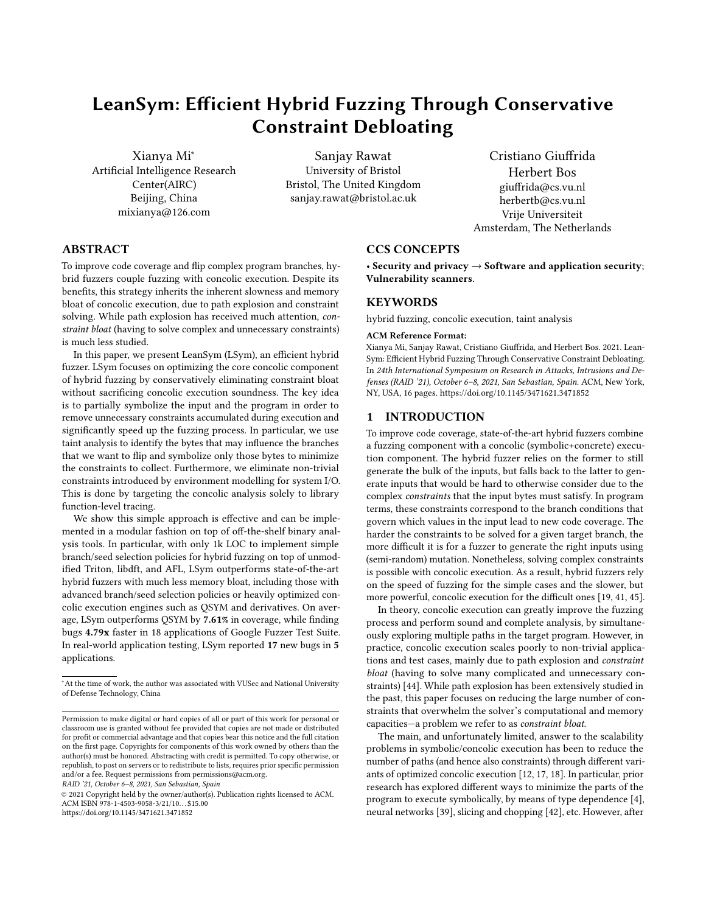- <span id="page-14-2"></span>[42] David Trabish, Andrea Mattavelli, Noam Rinetzky, and Cristian Cadar. 2018. Chopped Symbolic Execution. In Proc. ICSE'18. ACM.
- <span id="page-14-4"></span>[43] Haijun Wang, Ting Liu, Xiaohong Guan, Chao Shen, Qinghua Zheng, and Zijiang Yang. 2017. Dependence Guided Symbolic Execution. IEEE Trans. Softw. Eng. 43, 3 (2017), 252–271.
- <span id="page-14-1"></span>[44] Xiaoyin Wang, Lingming Zhang, and Philip Tanofsky. 2015. Experience Report: How is Dynamic Symbolic Execution Different from Manual Testing? A Study on KLEE. In Proc. ISSTA'15. 199–210.
- <span id="page-14-0"></span>[45] Insu Yun, Sangho Lee, Meng Xu, Yeongjin Jang, and Taesoo Kim. 2018. QSYM : A Practical Concolic Execution Engine Tailored for Hybrid Fuzzing. In USENIX Sec'18).
- <span id="page-14-5"></span><span id="page-14-3"></span>Michal Zalewski. [n.d.]. American Fuzzy Lop. At: http://lcamtuf.coredump.cx/afl/. [47] Lei Zhao, Yue Duan, Heng Yin, and Jifeng Xuan. 2019. Send Hardest Problems My Way: Probabilistic Path Prioritization for Hybrid Fuzzing. In NDSS'19.

#### A APPENDICES

#### A.1 An Example of Function-level Tracing

We take the simple example from Listing [1](#page-1-1) and show how we hook the functions to partially symbolize the input file. We use ltrace and strace to find the potential relationship between functions and syscalls, as shown in Listing [3](#page-14-6) and Listing [4.](#page-14-7) We can see that fopen() opens the input file at a specific address (0x1b5a010) and the fread() function reads from the same address into a string buffer (located at 0x7fffb1cf81d0). Thus, we can hook fopen() and fread().

<span id="page-14-6"></span>Listing 3: Using ltrace to demonstrate libc functions called in the example program.

```
1 $ ltrace ./ example input
2 | __libc_start_main (0x400666, 2, 0x7fffb1cf86a8, 0x4008e0
3 < unfinished ... >
   fopen("input", "r") = 0x1b5a010
5 \mid \text{fred}(0 \times \text{7fffb1cf81d0}, 950, 1, 0 \times 1b5a010) = 16 | puts ("branch 2" branch 2
7 \mid ) = 9
8 puts (" branch 3" branch 3
9 \vert ) = 9
10 \mid \text{puts} ("branch 5" branch 5
11 ) = 912 | puts ("branch 0" branch 0
13 \mid) = 9
14 +++ exited ( status 0) +++
```
<span id="page-14-7"></span>Listing 4: Using strace to demonstrate syscall functions called in the example program.

```
1 $ strace ./ example input
2 execve ( " ./ symbex5 " , [ " ./ example " , " input " ] ,
     \lceil x \rceil / \sqrt{2} \rceil = 04 ......
5 open ( " / etc / ld . so . cache " , O_RDONLY | O_CLOEXEC ) = 3
 6 \ldots...
     open ("input", 0_RDONLY) = 3
 8 \ldots...
9 | read(3, "BBBBBBBBBBBBBBBBBBBBBBBBBBBBBBBBBB"..., 4096) = 950<br>10
10 ......
11 +++ exited with 0 +++
```
We can also use the automated PIN tool to output the calling sequences of file processing syscalls. As shown in Listing [5,](#page-14-8) the fopen() function sequence falls into the open() syscall, while in Listing [6,](#page-14-9) fread() function sequence falls into the read() syscall. Thus, we know the functions related file processing to hook are fopen() and fread().

<span id="page-14-8"></span>Listing 5: Fopen calling sequences from function to syscall in the example program.

|           | 1   address: 0x400550, function name: fopen@plt      |  |                                                           |
|-----------|------------------------------------------------------|--|-----------------------------------------------------------|
|           | 2 address: 0x4004f0, function name: .plt             |  |                                                           |
|           | 3 address: 0x7f6dd2f91d70, function name: fopen      |  |                                                           |
|           | 4   address: 0x7f6dd2f438a0, function name: .plt.got |  |                                                           |
| $5 \dots$ |                                                      |  |                                                           |
|           | $6$ address: $0x7f6dd2f9db30$ ,                      |  | function name: _IO_file_fopen                             |
|           |                                                      |  | 7   address: 0x7f6dd2f9da40, function name: _IO_file_open |
|           | 8 address: 0x7f6dd301b030, function name: open       |  |                                                           |
|           |                                                      |  | 9 [*] Open syscall 0x7f6dd301b03e: 2(0x7ffec8ae76f0, 0x0, |
|           | 10   0x1b6, 0x0, 0x8, 0x1) returns: 0x3              |  |                                                           |

<span id="page-14-9"></span>Listing 6: Fread calling sequences from function to syscall in the example program.

```
1 address: 0x400520, function name: fread@plt<br>2 address: 0x4004f0, function name: .plt
2 adress: 0 \times 4004f0, function name:<br>3 adress: 0 \times 7f6dd2f921a0 function
     address: 0x7f6dd2f921a0, function name: TO_fread
4 ......
5 address : 0 x7f6dd2f9d1a0 , function name : _IO_file_read
     address: 0x7f6dd301b250, function name: read
     [*] Read syscall 0x7f6dd301b25e: 0(0x3, 0x9c7240, 0x1000,
     8 0 x7f6dd2ee8700 , 0 x9c70f0 , 0 x7ffec8ae50f0 ) returns : 0 x3b6
```
The next step is to implement function summary. We can get the string buffer address which should be symbolized by analyzing the disassembly code of fopen() and fread() functions, as shown in Listing [7](#page-14-10) and Listing [8.](#page-14-11) Another important information is the read offset of the input, which we should use to relate the symbolized bytes to the original input offset. As shown in Listing [9,](#page-15-1) we can get the location address where the value of \_IO\_read\_ptr and \_IO\_read\_base, then we can calculate the value of the file reading offset as described in Section [4.](#page-4-0)

<span id="page-14-10"></span>Listing 7: Disassembly code of calling fopen() in the example program.

```
0x000000000004006c0 <+90>: mov<br>0x00000000004006c3 <+93>: callq
2 0 x0000000000004006c3 <+93>: callq 0x400550 <fopen@plt><br>3 0x000000000004006c8 <+98>: mov
      0 x000000000004006c8 <+98>: mov<br>0 x00000000004006cf <+105>: mov
4 0 x00000000004006cf <+105 >: mov -0 x3f8 (
```
<span id="page-14-11"></span>Listing 8: Disassembly code of calling fread() in the example program.

```
0x000000000004006dd <+119>: mov<br>0x00000000004006e0 <+122>: mov
       0 \times 00000000004006e0 \leq t + 122 mov $0x1,<br>0 \times 00000000004006e5 \leq t + 127 mov $0x3b6
3 \mid 0 \times 000000000004006e5 \leq +127 >:<br>4 0 x 00000000004006ea <+132>:
       4 0 x00000000004006ea <+132 >: mov
5 0 x000000000004006ed <+135>: callq 0 x400520 <fread@plt>6 0 x000000000004006f2 <+140>: movl $0 x0.-0 x404(
       6 0 x00000000004006f2 <+140 >: movl $0x0 , -0 x404 (
```